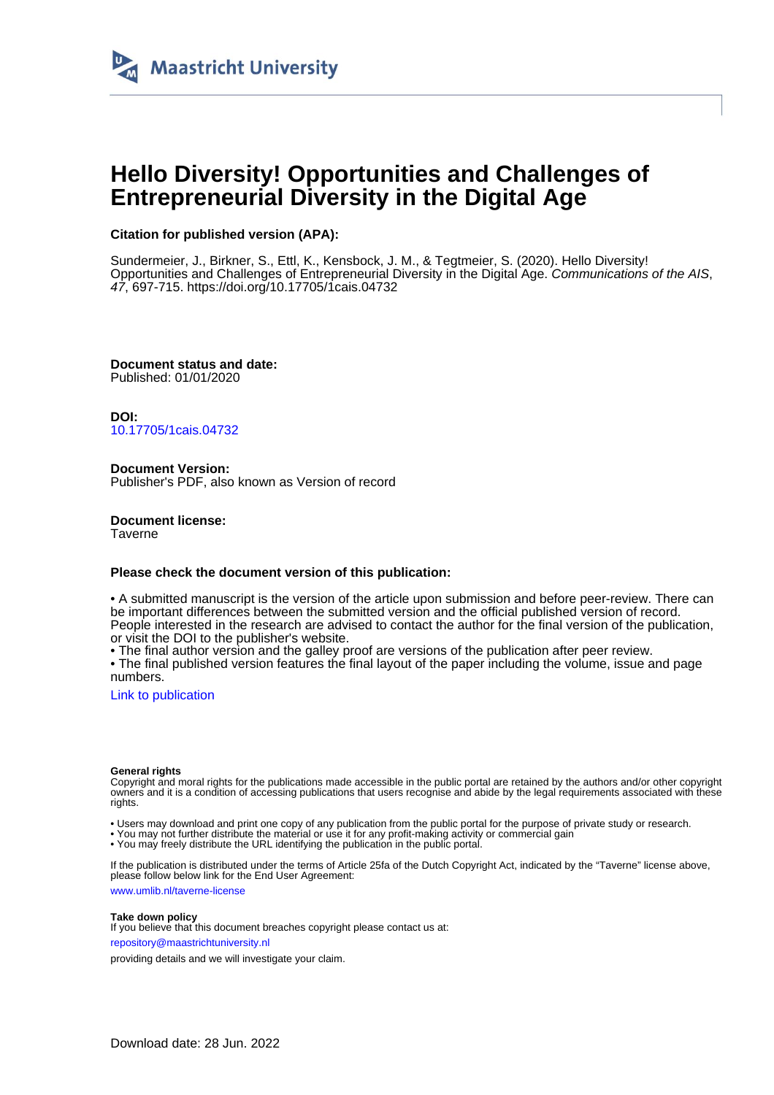

# **Hello Diversity! Opportunities and Challenges of Entrepreneurial Diversity in the Digital Age**

#### **Citation for published version (APA):**

Sundermeier, J., Birkner, S., Ettl, K., Kensbock, J. M., & Tegtmeier, S. (2020). Hello Diversity! Opportunities and Challenges of Entrepreneurial Diversity in the Digital Age. Communications of the AIS, 47, 697-715. <https://doi.org/10.17705/1cais.04732>

**Document status and date:** Published: 01/01/2020

**DOI:** [10.17705/1cais.04732](https://doi.org/10.17705/1cais.04732)

**Document Version:** Publisher's PDF, also known as Version of record

**Document license: Taverne** 

#### **Please check the document version of this publication:**

• A submitted manuscript is the version of the article upon submission and before peer-review. There can be important differences between the submitted version and the official published version of record. People interested in the research are advised to contact the author for the final version of the publication, or visit the DOI to the publisher's website.

• The final author version and the galley proof are versions of the publication after peer review.

• The final published version features the final layout of the paper including the volume, issue and page numbers.

[Link to publication](https://cris.maastrichtuniversity.nl/en/publications/7f2c4645-cc0f-4cc2-bcc2-cad22bb43898)

#### **General rights**

Copyright and moral rights for the publications made accessible in the public portal are retained by the authors and/or other copyright owners and it is a condition of accessing publications that users recognise and abide by the legal requirements associated with these rights.

• Users may download and print one copy of any publication from the public portal for the purpose of private study or research.

• You may not further distribute the material or use it for any profit-making activity or commercial gain

• You may freely distribute the URL identifying the publication in the public portal.

If the publication is distributed under the terms of Article 25fa of the Dutch Copyright Act, indicated by the "Taverne" license above, please follow below link for the End User Agreement:

www.umlib.nl/taverne-license

#### **Take down policy**

If you believe that this document breaches copyright please contact us at: repository@maastrichtuniversity.nl

providing details and we will investigate your claim.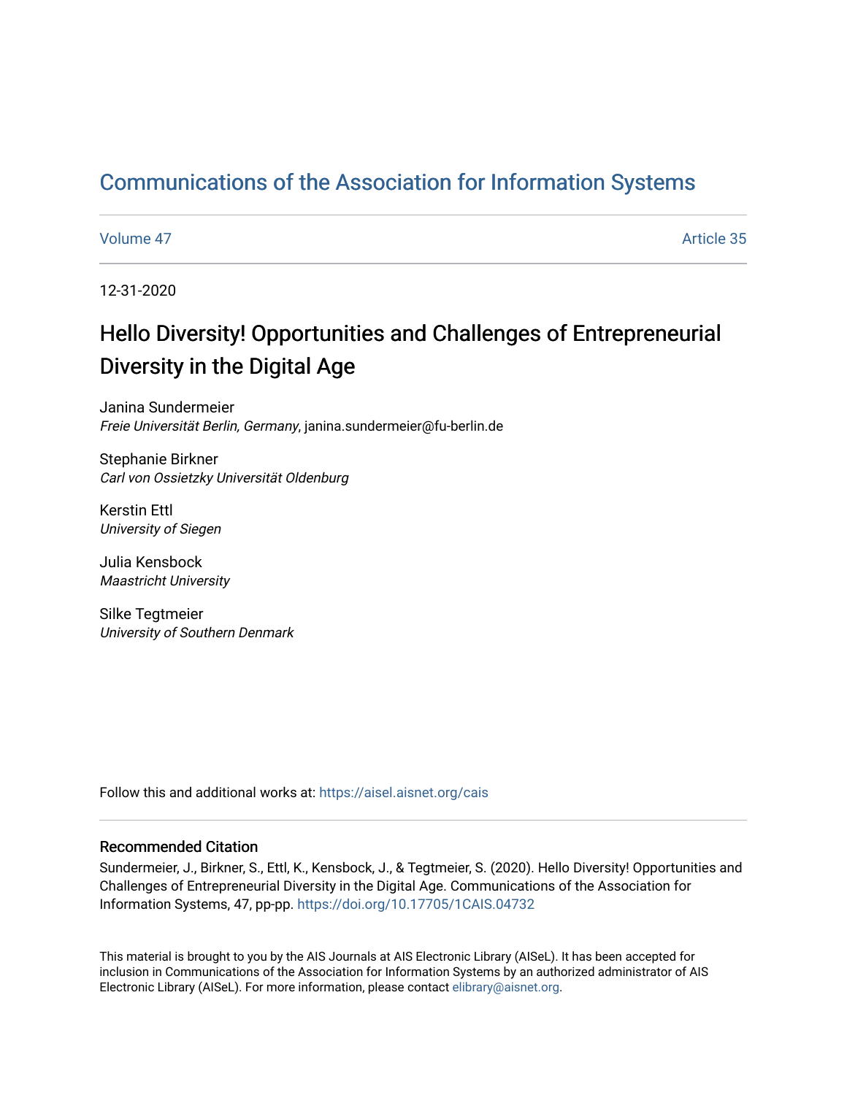# [Communications of the Association for Information Systems](https://aisel.aisnet.org/cais)

#### [Volume 47](https://aisel.aisnet.org/cais/vol47) Article 35

12-31-2020

# Hello Diversity! Opportunities and Challenges of Entrepreneurial Diversity in the Digital Age

Janina Sundermeier Freie Universität Berlin, Germany, janina.sundermeier@fu-berlin.de

Stephanie Birkner Carl von Ossietzky Universität Oldenburg

Kerstin Ettl University of Siegen

Julia Kensbock Maastricht University

Silke Tegtmeier University of Southern Denmark

Follow this and additional works at: [https://aisel.aisnet.org/cais](https://aisel.aisnet.org/cais?utm_source=aisel.aisnet.org%2Fcais%2Fvol47%2Fiss1%2F35&utm_medium=PDF&utm_campaign=PDFCoverPages)

### Recommended Citation

Sundermeier, J., Birkner, S., Ettl, K., Kensbock, J., & Tegtmeier, S. (2020). Hello Diversity! Opportunities and Challenges of Entrepreneurial Diversity in the Digital Age. Communications of the Association for Information Systems, 47, pp-pp.<https://doi.org/10.17705/1CAIS.04732>

This material is brought to you by the AIS Journals at AIS Electronic Library (AISeL). It has been accepted for inclusion in Communications of the Association for Information Systems by an authorized administrator of AIS Electronic Library (AISeL). For more information, please contact [elibrary@aisnet.org.](mailto:elibrary@aisnet.org%3E)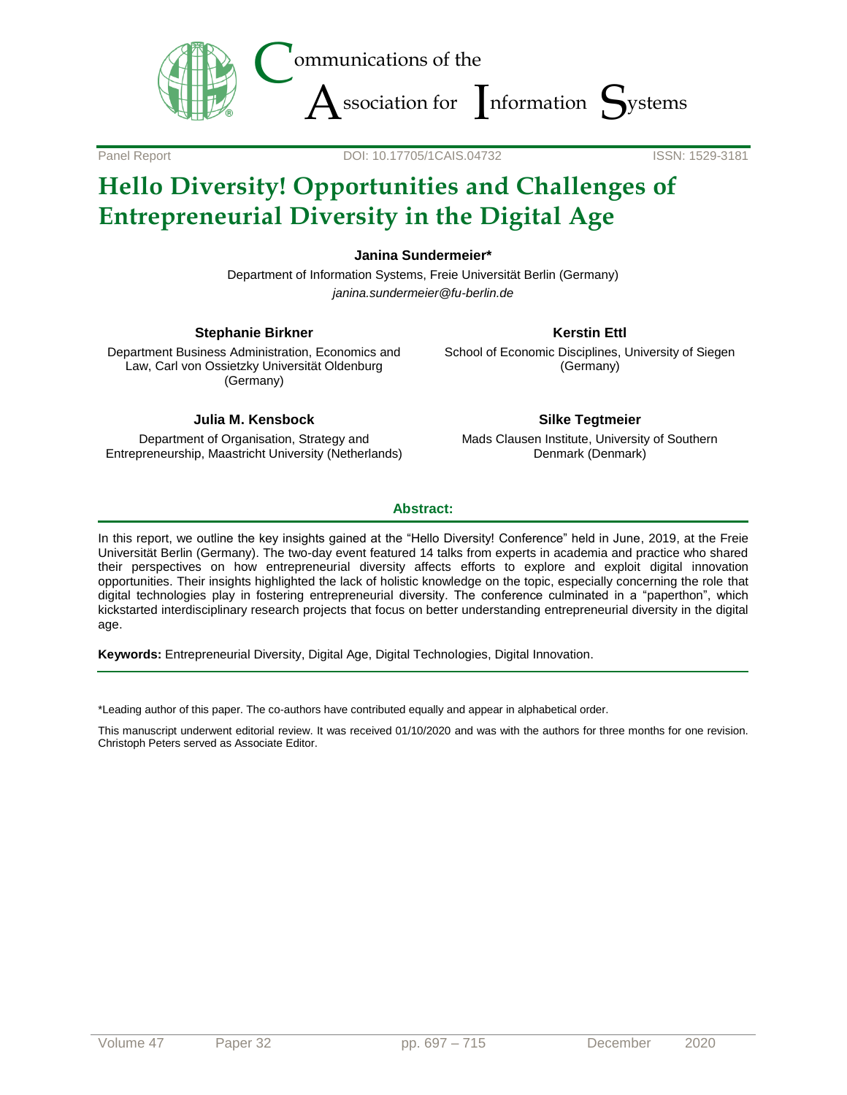

Panel Report DOI: 10.17705/1CAIS.04732 ISSN: 1529-3181

# **Hello Diversity! Opportunities and Challenges of Entrepreneurial Diversity in the Digital Age**

**Janina Sundermeier\***

Department of Information Systems, Freie Universität Berlin (Germany) *janina.sundermeier@fu-berlin.de*

#### **Stephanie Birkner**

Department Business Administration, Economics and Law, Carl von Ossietzky Universität Oldenburg (Germany)

### **Julia M. Kensbock**

Department of Organisation, Strategy and Entrepreneurship, Maastricht University (Netherlands)

### **Kerstin Ettl**

School of Economic Disciplines, University of Siegen (Germany)

### **Silke Tegtmeier**

Mads Clausen Institute, University of Southern Denmark (Denmark)

### **Abstract:**

In this report, we outline the key insights gained at the "Hello Diversity! Conference" held in June, 2019, at the Freie Universität Berlin (Germany). The two-day event featured 14 talks from experts in academia and practice who shared their perspectives on how entrepreneurial diversity affects efforts to explore and exploit digital innovation opportunities. Their insights highlighted the lack of holistic knowledge on the topic, especially concerning the role that digital technologies play in fostering entrepreneurial diversity. The conference culminated in a "paperthon", which kickstarted interdisciplinary research projects that focus on better understanding entrepreneurial diversity in the digital age.

**Keywords:** Entrepreneurial Diversity, Digital Age, Digital Technologies, Digital Innovation.

\*Leading author of this paper. The co-authors have contributed equally and appear in alphabetical order.

This manuscript underwent editorial review. It was received 01/10/2020 and was with the authors for three months for one revision. Christoph Peters served as Associate Editor.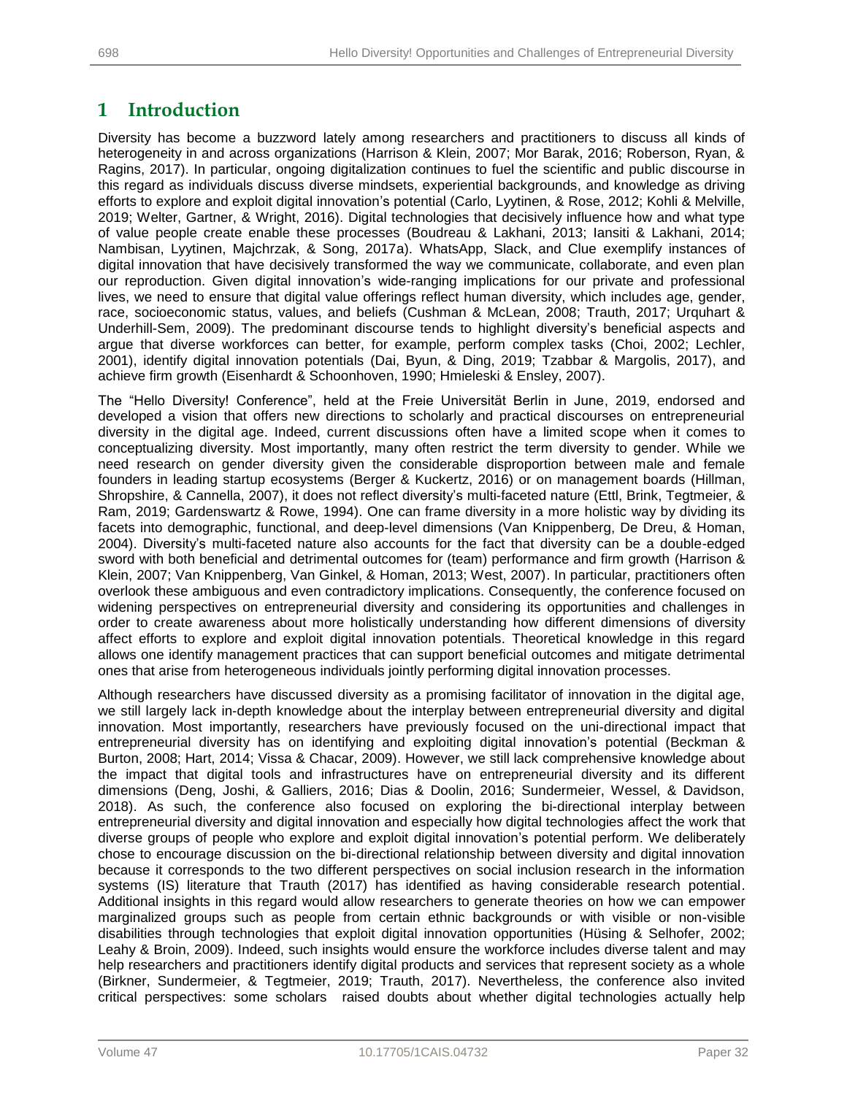# **1 Introduction**

Diversity has become a buzzword lately among researchers and practitioners to discuss all kinds of heterogeneity in and across organizations (Harrison & Klein, 2007; Mor Barak, 2016; Roberson, Ryan, & Ragins, 2017). In particular, ongoing digitalization continues to fuel the scientific and public discourse in this regard as individuals discuss diverse mindsets, experiential backgrounds, and knowledge as driving efforts to explore and exploit digital innovation's potential (Carlo, Lyytinen, & Rose, 2012; Kohli & Melville, 2019; Welter, Gartner, & Wright, 2016). Digital technologies that decisively influence how and what type of value people create enable these processes (Boudreau & Lakhani, 2013; Iansiti & Lakhani, 2014; Nambisan, Lyytinen, Majchrzak, & Song, 2017a). WhatsApp, Slack, and Clue exemplify instances of digital innovation that have decisively transformed the way we communicate, collaborate, and even plan our reproduction. Given digital innovation's wide-ranging implications for our private and professional lives, we need to ensure that digital value offerings reflect human diversity, which includes age, gender, race, socioeconomic status, values, and beliefs (Cushman & McLean, 2008; Trauth, 2017; Urquhart & Underhill-Sem, 2009). The predominant discourse tends to highlight diversity's beneficial aspects and argue that diverse workforces can better, for example, perform complex tasks (Choi, 2002; Lechler, 2001), identify digital innovation potentials (Dai, Byun, & Ding, 2019; Tzabbar & Margolis, 2017), and achieve firm growth (Eisenhardt & Schoonhoven, 1990; Hmieleski & Ensley, 2007).

The "Hello Diversity! Conference", held at the Freie Universität Berlin in June, 2019, endorsed and developed a vision that offers new directions to scholarly and practical discourses on entrepreneurial diversity in the digital age. Indeed, current discussions often have a limited scope when it comes to conceptualizing diversity. Most importantly, many often restrict the term diversity to gender. While we need research on gender diversity given the considerable disproportion between male and female founders in leading startup ecosystems (Berger & Kuckertz, 2016) or on management boards (Hillman, Shropshire, & Cannella, 2007), it does not reflect diversity's multi-faceted nature (Ettl, Brink, Tegtmeier, & Ram, 2019; Gardenswartz & Rowe, 1994). One can frame diversity in a more holistic way by dividing its facets into demographic, functional, and deep-level dimensions (Van Knippenberg, De Dreu, & Homan, 2004). Diversity's multi-faceted nature also accounts for the fact that diversity can be a double-edged sword with both beneficial and detrimental outcomes for (team) performance and firm growth (Harrison & Klein, 2007; Van Knippenberg, Van Ginkel, & Homan, 2013; West, 2007). In particular, practitioners often overlook these ambiguous and even contradictory implications. Consequently, the conference focused on widening perspectives on entrepreneurial diversity and considering its opportunities and challenges in order to create awareness about more holistically understanding how different dimensions of diversity affect efforts to explore and exploit digital innovation potentials. Theoretical knowledge in this regard allows one identify management practices that can support beneficial outcomes and mitigate detrimental ones that arise from heterogeneous individuals jointly performing digital innovation processes.

Although researchers have discussed diversity as a promising facilitator of innovation in the digital age, we still largely lack in-depth knowledge about the interplay between entrepreneurial diversity and digital innovation. Most importantly, researchers have previously focused on the uni-directional impact that entrepreneurial diversity has on identifying and exploiting digital innovation's potential (Beckman & Burton, 2008; Hart, 2014; Vissa & Chacar, 2009). However, we still lack comprehensive knowledge about the impact that digital tools and infrastructures have on entrepreneurial diversity and its different dimensions (Deng, Joshi, & Galliers, 2016; Dias & Doolin, 2016; Sundermeier, Wessel, & Davidson, 2018). As such, the conference also focused on exploring the bi-directional interplay between entrepreneurial diversity and digital innovation and especially how digital technologies affect the work that diverse groups of people who explore and exploit digital innovation's potential perform. We deliberately chose to encourage discussion on the bi-directional relationship between diversity and digital innovation because it corresponds to the two different perspectives on social inclusion research in the information systems (IS) literature that Trauth (2017) has identified as having considerable research potential. Additional insights in this regard would allow researchers to generate theories on how we can empower marginalized groups such as people from certain ethnic backgrounds or with visible or non-visible disabilities through technologies that exploit digital innovation opportunities (Hüsing & Selhofer, 2002; Leahy & Broin, 2009). Indeed, such insights would ensure the workforce includes diverse talent and may help researchers and practitioners identify digital products and services that represent society as a whole (Birkner, Sundermeier, & Tegtmeier, 2019; Trauth, 2017). Nevertheless, the conference also invited critical perspectives: some scholars raised doubts about whether digital technologies actually help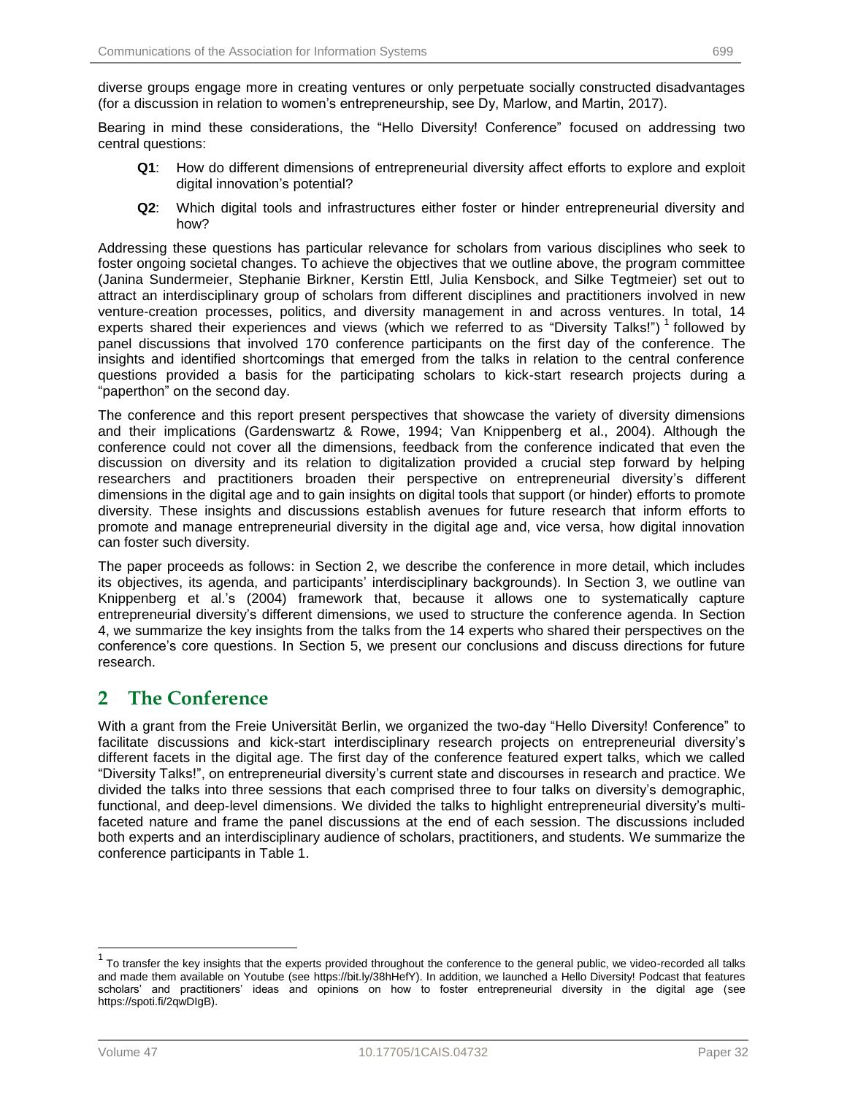diverse groups engage more in creating ventures or only perpetuate socially constructed disadvantages (for a discussion in relation to women's entrepreneurship, see Dy, Marlow, and Martin, 2017).

Bearing in mind these considerations, the "Hello Diversity! Conference" focused on addressing two central questions:

- **Q1**: How do different dimensions of entrepreneurial diversity affect efforts to explore and exploit digital innovation's potential?
- **Q2**: Which digital tools and infrastructures either foster or hinder entrepreneurial diversity and how?

Addressing these questions has particular relevance for scholars from various disciplines who seek to foster ongoing societal changes. To achieve the objectives that we outline above, the program committee (Janina Sundermeier, Stephanie Birkner, Kerstin Ettl, Julia Kensbock, and Silke Tegtmeier) set out to attract an interdisciplinary group of scholars from different disciplines and practitioners involved in new venture-creation processes, politics, and diversity management in and across ventures. In total, 14 experts shared their experiences and views (which we referred to as "Diversity Talks!") 1 followed by panel discussions that involved 170 conference participants on the first day of the conference. The insights and identified shortcomings that emerged from the talks in relation to the central conference questions provided a basis for the participating scholars to kick-start research projects during a "paperthon" on the second day.

The conference and this report present perspectives that showcase the variety of diversity dimensions and their implications (Gardenswartz & Rowe, 1994; Van Knippenberg et al., 2004). Although the conference could not cover all the dimensions, feedback from the conference indicated that even the discussion on diversity and its relation to digitalization provided a crucial step forward by helping researchers and practitioners broaden their perspective on entrepreneurial diversity's different dimensions in the digital age and to gain insights on digital tools that support (or hinder) efforts to promote diversity. These insights and discussions establish avenues for future research that inform efforts to promote and manage entrepreneurial diversity in the digital age and, vice versa, how digital innovation can foster such diversity.

The paper proceeds as follows: in Section 2, we describe the conference in more detail, which includes its objectives, its agenda, and participants' interdisciplinary backgrounds). In Section 3, we outline van Knippenberg et al.'s (2004) framework that, because it allows one to systematically capture entrepreneurial diversity's different dimensions, we used to structure the conference agenda. In Section 4, we summarize the key insights from the talks from the 14 experts who shared their perspectives on the conference's core questions. In Section 5, we present our conclusions and discuss directions for future research.

# **2 The Conference**

With a grant from the Freie Universität Berlin, we organized the two-day "Hello Diversity! Conference" to facilitate discussions and kick-start interdisciplinary research projects on entrepreneurial diversity's different facets in the digital age. The first day of the conference featured expert talks, which we called "Diversity Talks!", on entrepreneurial diversity's current state and discourses in research and practice. We divided the talks into three sessions that each comprised three to four talks on diversity's demographic, functional, and deep-level dimensions. We divided the talks to highlight entrepreneurial diversity's multifaceted nature and frame the panel discussions at the end of each session. The discussions included both experts and an interdisciplinary audience of scholars, practitioners, and students. We summarize the conference participants in Table 1.

l

<sup>1</sup> To transfer the key insights that the experts provided throughout the conference to the general public, we video-recorded all talks and made them available on Youtube (see https://bit.ly/38hHefY). In addition, we launched a Hello Diversity! Podcast that features scholars' and practitioners' ideas and opinions on how to foster entrepreneurial diversity in the digital age (see https://spoti.fi/2qwDIgB).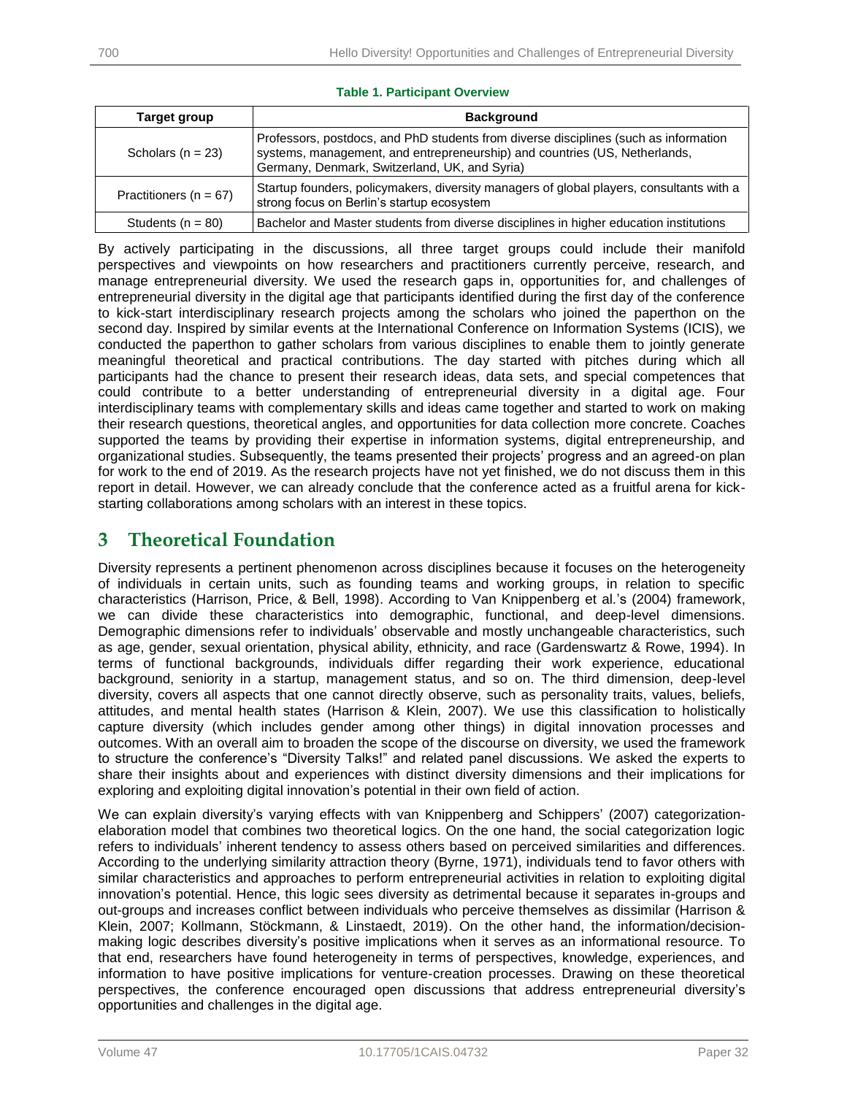| Target group               | <b>Background</b>                                                                                                                                                                                                   |  |
|----------------------------|---------------------------------------------------------------------------------------------------------------------------------------------------------------------------------------------------------------------|--|
| Scholars ( $n = 23$ )      | Professors, postdocs, and PhD students from diverse disciplines (such as information<br>systems, management, and entrepreneurship) and countries (US, Netherlands,<br>Germany, Denmark, Switzerland, UK, and Syria) |  |
| Practitioners ( $n = 67$ ) | Startup founders, policymakers, diversity managers of global players, consultants with a<br>strong focus on Berlin's startup ecosystem                                                                              |  |
| Students $(n = 80)$        | Bachelor and Master students from diverse disciplines in higher education institutions                                                                                                                              |  |

#### **Table 1. Participant Overview**

By actively participating in the discussions, all three target groups could include their manifold perspectives and viewpoints on how researchers and practitioners currently perceive, research, and manage entrepreneurial diversity. We used the research gaps in, opportunities for, and challenges of entrepreneurial diversity in the digital age that participants identified during the first day of the conference to kick-start interdisciplinary research projects among the scholars who joined the paperthon on the second day. Inspired by similar events at the International Conference on Information Systems (ICIS), we conducted the paperthon to gather scholars from various disciplines to enable them to jointly generate meaningful theoretical and practical contributions. The day started with pitches during which all participants had the chance to present their research ideas, data sets, and special competences that could contribute to a better understanding of entrepreneurial diversity in a digital age. Four interdisciplinary teams with complementary skills and ideas came together and started to work on making their research questions, theoretical angles, and opportunities for data collection more concrete. Coaches supported the teams by providing their expertise in information systems, digital entrepreneurship, and organizational studies. Subsequently, the teams presented their projects' progress and an agreed-on plan for work to the end of 2019. As the research projects have not yet finished, we do not discuss them in this report in detail. However, we can already conclude that the conference acted as a fruitful arena for kickstarting collaborations among scholars with an interest in these topics.

# **3 Theoretical Foundation**

Diversity represents a pertinent phenomenon across disciplines because it focuses on the heterogeneity of individuals in certain units, such as founding teams and working groups, in relation to specific characteristics (Harrison, Price, & Bell, 1998). According to Van Knippenberg et al.'s (2004) framework, we can divide these characteristics into demographic, functional, and deep-level dimensions. Demographic dimensions refer to individuals' observable and mostly unchangeable characteristics, such as age, gender, sexual orientation, physical ability, ethnicity, and race (Gardenswartz & Rowe, 1994). In terms of functional backgrounds, individuals differ regarding their work experience, educational background, seniority in a startup, management status, and so on. The third dimension, deep-level diversity, covers all aspects that one cannot directly observe, such as personality traits, values, beliefs, attitudes, and mental health states (Harrison & Klein, 2007). We use this classification to holistically capture diversity (which includes gender among other things) in digital innovation processes and outcomes. With an overall aim to broaden the scope of the discourse on diversity, we used the framework to structure the conference's "Diversity Talks!" and related panel discussions. We asked the experts to share their insights about and experiences with distinct diversity dimensions and their implications for exploring and exploiting digital innovation's potential in their own field of action.

We can explain diversity's varying effects with van Knippenberg and Schippers' (2007) categorizationelaboration model that combines two theoretical logics. On the one hand, the social categorization logic refers to individuals' inherent tendency to assess others based on perceived similarities and differences. According to the underlying similarity attraction theory (Byrne, 1971), individuals tend to favor others with similar characteristics and approaches to perform entrepreneurial activities in relation to exploiting digital innovation's potential. Hence, this logic sees diversity as detrimental because it separates in-groups and out-groups and increases conflict between individuals who perceive themselves as dissimilar (Harrison & Klein, 2007; Kollmann, Stöckmann, & Linstaedt, 2019). On the other hand, the information/decisionmaking logic describes diversity's positive implications when it serves as an informational resource. To that end, researchers have found heterogeneity in terms of perspectives, knowledge, experiences, and information to have positive implications for venture-creation processes. Drawing on these theoretical perspectives, the conference encouraged open discussions that address entrepreneurial diversity's opportunities and challenges in the digital age.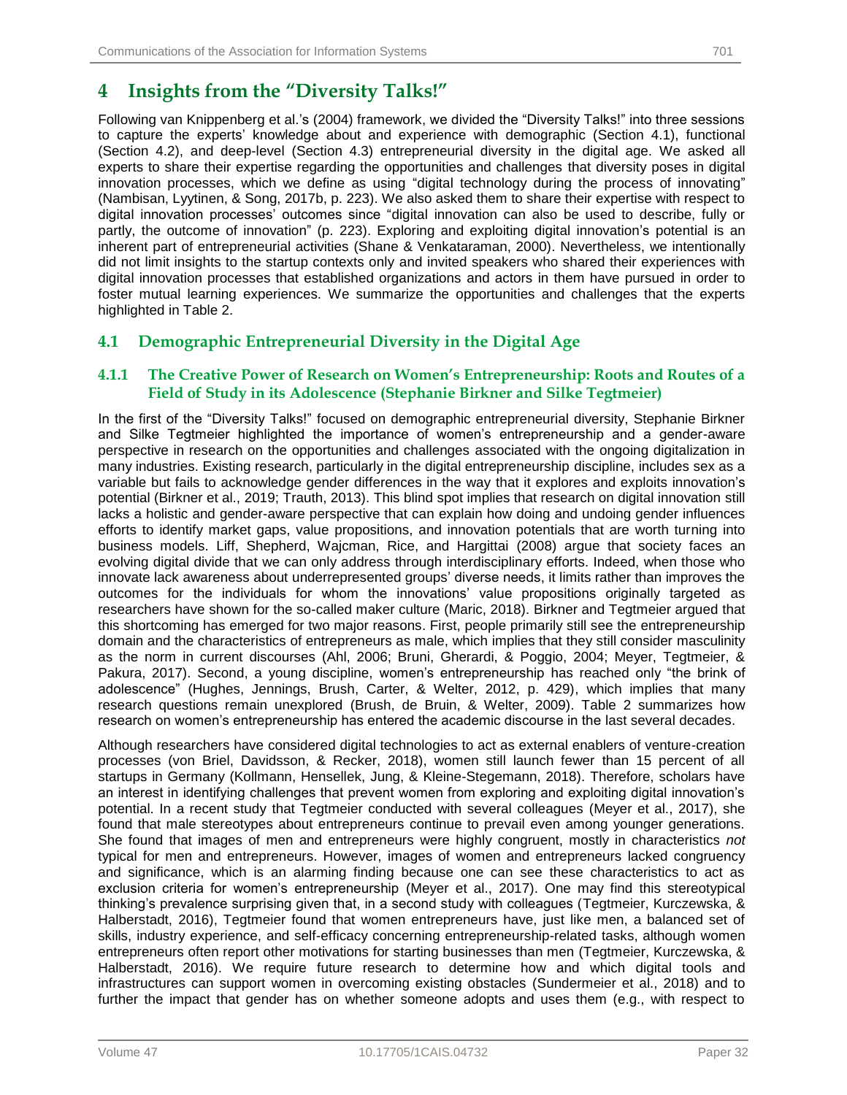# **4 Insights from the "Diversity Talks!"**

Following van Knippenberg et al.'s (2004) framework, we divided the "Diversity Talks!" into three sessions to capture the experts' knowledge about and experience with demographic (Section 4.1), functional (Section 4.2), and deep-level (Section 4.3) entrepreneurial diversity in the digital age. We asked all experts to share their expertise regarding the opportunities and challenges that diversity poses in digital innovation processes, which we define as using "digital technology during the process of innovating" (Nambisan, Lyytinen, & Song, 2017b, p. 223). We also asked them to share their expertise with respect to digital innovation processes' outcomes since "digital innovation can also be used to describe, fully or partly, the outcome of innovation" (p. 223). Exploring and exploiting digital innovation's potential is an inherent part of entrepreneurial activities (Shane & Venkataraman, 2000). Nevertheless, we intentionally did not limit insights to the startup contexts only and invited speakers who shared their experiences with digital innovation processes that established organizations and actors in them have pursued in order to foster mutual learning experiences. We summarize the opportunities and challenges that the experts highlighted in Table 2.

## **4.1 Demographic Entrepreneurial Diversity in the Digital Age**

### **4.1.1 The Creative Power of Research on Women's Entrepreneurship: Roots and Routes of a Field of Study in its Adolescence (Stephanie Birkner and Silke Tegtmeier)**

In the first of the "Diversity Talks!" focused on demographic entrepreneurial diversity, Stephanie Birkner and Silke Tegtmeier highlighted the importance of women's entrepreneurship and a gender-aware perspective in research on the opportunities and challenges associated with the ongoing digitalization in many industries. Existing research, particularly in the digital entrepreneurship discipline, includes sex as a variable but fails to acknowledge gender differences in the way that it explores and exploits innovation's potential (Birkner et al., 2019; Trauth, 2013). This blind spot implies that research on digital innovation still lacks a holistic and gender-aware perspective that can explain how doing and undoing gender influences efforts to identify market gaps, value propositions, and innovation potentials that are worth turning into business models. Liff, Shepherd, Wajcman, Rice, and Hargittai (2008) argue that society faces an evolving digital divide that we can only address through interdisciplinary efforts. Indeed, when those who innovate lack awareness about underrepresented groups' diverse needs, it limits rather than improves the outcomes for the individuals for whom the innovations' value propositions originally targeted as researchers have shown for the so-called maker culture (Maric, 2018). Birkner and Tegtmeier argued that this shortcoming has emerged for two major reasons. First, people primarily still see the entrepreneurship domain and the characteristics of entrepreneurs as male, which implies that they still consider masculinity as the norm in current discourses (Ahl, 2006; Bruni, Gherardi, & Poggio, 2004; Meyer, Tegtmeier, & Pakura, 2017). Second, a young discipline, women's entrepreneurship has reached only "the brink of adolescence" (Hughes, Jennings, Brush, Carter, & Welter, 2012, p. 429), which implies that many research questions remain unexplored (Brush, de Bruin, & Welter, 2009). Table 2 summarizes how research on women's entrepreneurship has entered the academic discourse in the last several decades.

Although researchers have considered digital technologies to act as external enablers of venture-creation processes (von Briel, Davidsson, & Recker, 2018), women still launch fewer than 15 percent of all startups in Germany (Kollmann, Hensellek, Jung, & Kleine-Stegemann, 2018). Therefore, scholars have an interest in identifying challenges that prevent women from exploring and exploiting digital innovation's potential. In a recent study that Tegtmeier conducted with several colleagues (Meyer et al., 2017), she found that male stereotypes about entrepreneurs continue to prevail even among younger generations. She found that images of men and entrepreneurs were highly congruent, mostly in characteristics *not*  typical for men and entrepreneurs. However, images of women and entrepreneurs lacked congruency and significance, which is an alarming finding because one can see these characteristics to act as exclusion criteria for women's entrepreneurship (Meyer et al., 2017). One may find this stereotypical thinking's prevalence surprising given that, in a second study with colleagues (Tegtmeier, Kurczewska, & Halberstadt, 2016), Tegtmeier found that women entrepreneurs have, just like men, a balanced set of skills, industry experience, and self-efficacy concerning entrepreneurship-related tasks, although women entrepreneurs often report other motivations for starting businesses than men (Tegtmeier, Kurczewska, & Halberstadt, 2016). We require future research to determine how and which digital tools and infrastructures can support women in overcoming existing obstacles (Sundermeier et al., 2018) and to further the impact that gender has on whether someone adopts and uses them (e.g., with respect to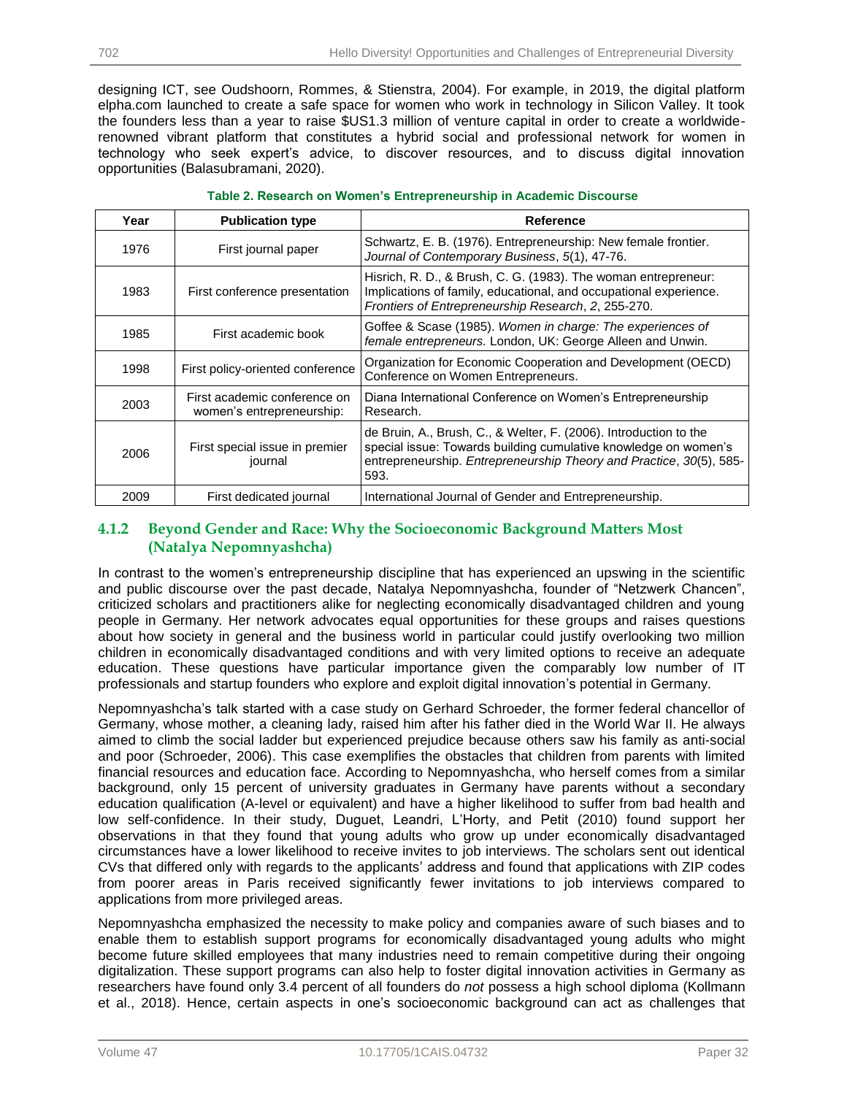designing ICT, see Oudshoorn, Rommes, & Stienstra, 2004). For example, in 2019, the digital platform elpha.com launched to create a safe space for women who work in technology in Silicon Valley. It took the founders less than a year to raise \$US1.3 million of venture capital in order to create a worldwiderenowned vibrant platform that constitutes a hybrid social and professional network for women in technology who seek expert's advice, to discover resources, and to discuss digital innovation opportunities (Balasubramani, 2020).

| Year | <b>Publication type</b>                                   | <b>Reference</b>                                                                                                                                                                                                    |
|------|-----------------------------------------------------------|---------------------------------------------------------------------------------------------------------------------------------------------------------------------------------------------------------------------|
| 1976 | First journal paper                                       | Schwartz, E. B. (1976). Entrepreneurship: New female frontier.<br>Journal of Contemporary Business, 5(1), 47-76.                                                                                                    |
| 1983 | First conference presentation                             | Hisrich, R. D., & Brush, C. G. (1983). The woman entrepreneur:<br>Implications of family, educational, and occupational experience.<br>Frontiers of Entrepreneurship Research, 2, 255-270.                          |
| 1985 | First academic book                                       | Goffee & Scase (1985). Women in charge: The experiences of<br>female entrepreneurs. London, UK: George Alleen and Unwin.                                                                                            |
| 1998 | First policy-oriented conference                          | Organization for Economic Cooperation and Development (OECD)<br>Conference on Women Entrepreneurs.                                                                                                                  |
| 2003 | First academic conference on<br>women's entrepreneurship: | Diana International Conference on Women's Entrepreneurship<br>Research.                                                                                                                                             |
| 2006 | First special issue in premier<br>journal                 | de Bruin, A., Brush, C., & Welter, F. (2006). Introduction to the<br>special issue: Towards building cumulative knowledge on women's<br>entrepreneurship. Entrepreneurship Theory and Practice, 30(5), 585-<br>593. |
| 2009 | First dedicated journal                                   | International Journal of Gender and Entrepreneurship.                                                                                                                                                               |

**Table 2. Research on Women's Entrepreneurship in Academic Discourse**

## **4.1.2 Beyond Gender and Race: Why the Socioeconomic Background Matters Most (Natalya Nepomnyashcha)**

In contrast to the women's entrepreneurship discipline that has experienced an upswing in the scientific and public discourse over the past decade, Natalya Nepomnyashcha, founder of "Netzwerk Chancen", criticized scholars and practitioners alike for neglecting economically disadvantaged children and young people in Germany. Her network advocates equal opportunities for these groups and raises questions about how society in general and the business world in particular could justify overlooking two million children in economically disadvantaged conditions and with very limited options to receive an adequate education. These questions have particular importance given the comparably low number of IT professionals and startup founders who explore and exploit digital innovation's potential in Germany.

Nepomnyashcha's talk started with a case study on Gerhard Schroeder, the former federal chancellor of Germany, whose mother, a cleaning lady, raised him after his father died in the World War II. He always aimed to climb the social ladder but experienced prejudice because others saw his family as anti-social and poor (Schroeder, 2006). This case exemplifies the obstacles that children from parents with limited financial resources and education face. According to Nepomnyashcha, who herself comes from a similar background, only 15 percent of university graduates in Germany have parents without a secondary education qualification (A-level or equivalent) and have a higher likelihood to suffer from bad health and low self-confidence. In their study, Duguet, Leandri, L'Horty, and Petit (2010) found support her observations in that they found that young adults who grow up under economically disadvantaged circumstances have a lower likelihood to receive invites to job interviews. The scholars sent out identical CVs that differed only with regards to the applicants' address and found that applications with ZIP codes from poorer areas in Paris received significantly fewer invitations to job interviews compared to applications from more privileged areas.

Nepomnyashcha emphasized the necessity to make policy and companies aware of such biases and to enable them to establish support programs for economically disadvantaged young adults who might become future skilled employees that many industries need to remain competitive during their ongoing digitalization. These support programs can also help to foster digital innovation activities in Germany as researchers have found only 3.4 percent of all founders do *not* possess a high school diploma (Kollmann et al., 2018). Hence, certain aspects in one's socioeconomic background can act as challenges that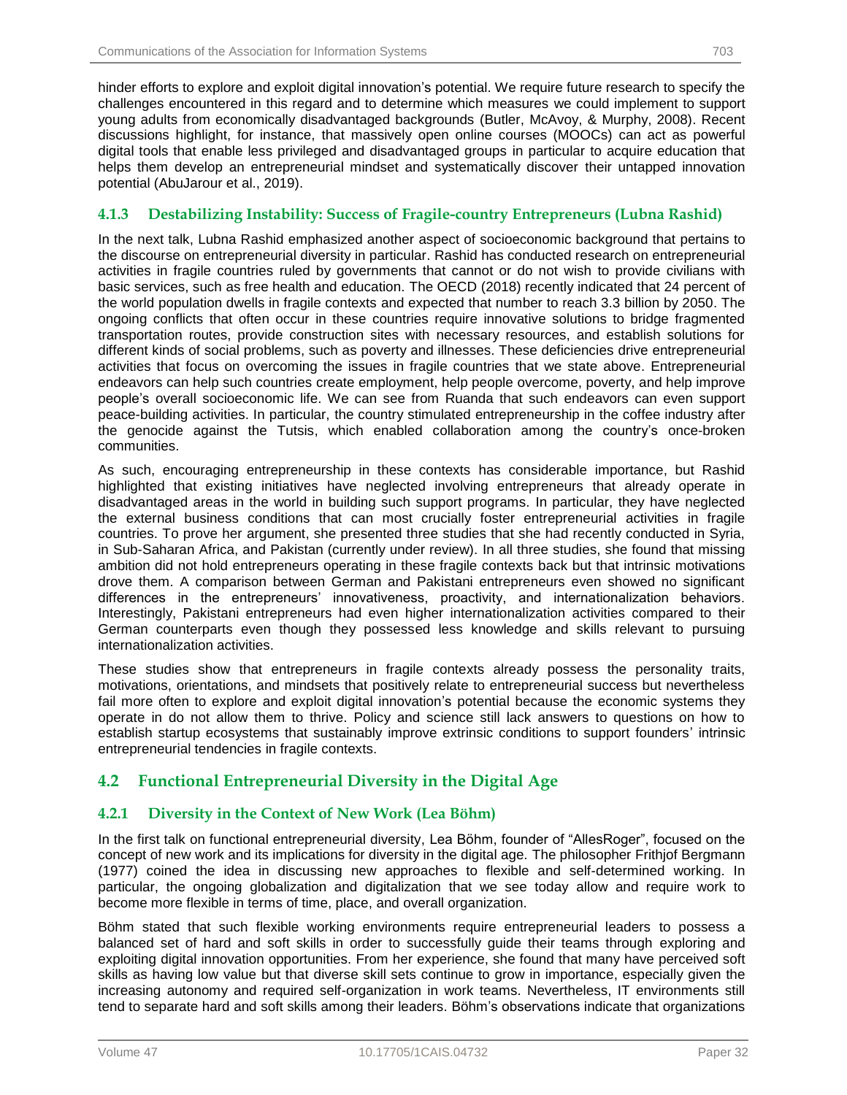hinder efforts to explore and exploit digital innovation's potential. We require future research to specify the challenges encountered in this regard and to determine which measures we could implement to support young adults from economically disadvantaged backgrounds (Butler, McAvoy, & Murphy, 2008). Recent discussions highlight, for instance, that massively open online courses (MOOCs) can act as powerful digital tools that enable less privileged and disadvantaged groups in particular to acquire education that helps them develop an entrepreneurial mindset and systematically discover their untapped innovation potential (AbuJarour et al., 2019).

## **4.1.3 Destabilizing Instability: Success of Fragile-country Entrepreneurs (Lubna Rashid)**

In the next talk, Lubna Rashid emphasized another aspect of socioeconomic background that pertains to the discourse on entrepreneurial diversity in particular. Rashid has conducted research on entrepreneurial activities in fragile countries ruled by governments that cannot or do not wish to provide civilians with basic services, such as free health and education. The OECD (2018) recently indicated that 24 percent of the world population dwells in fragile contexts and expected that number to reach 3.3 billion by 2050. The ongoing conflicts that often occur in these countries require innovative solutions to bridge fragmented transportation routes, provide construction sites with necessary resources, and establish solutions for different kinds of social problems, such as poverty and illnesses. These deficiencies drive entrepreneurial activities that focus on overcoming the issues in fragile countries that we state above. Entrepreneurial endeavors can help such countries create employment, help people overcome, poverty, and help improve people's overall socioeconomic life. We can see from Ruanda that such endeavors can even support peace-building activities. In particular, the country stimulated entrepreneurship in the coffee industry after the genocide against the Tutsis, which enabled collaboration among the country's once-broken communities.

As such, encouraging entrepreneurship in these contexts has considerable importance, but Rashid highlighted that existing initiatives have neglected involving entrepreneurs that already operate in disadvantaged areas in the world in building such support programs. In particular, they have neglected the external business conditions that can most crucially foster entrepreneurial activities in fragile countries. To prove her argument, she presented three studies that she had recently conducted in Syria, in Sub-Saharan Africa, and Pakistan (currently under review). In all three studies, she found that missing ambition did not hold entrepreneurs operating in these fragile contexts back but that intrinsic motivations drove them. A comparison between German and Pakistani entrepreneurs even showed no significant differences in the entrepreneurs' innovativeness, proactivity, and internationalization behaviors. Interestingly, Pakistani entrepreneurs had even higher internationalization activities compared to their German counterparts even though they possessed less knowledge and skills relevant to pursuing internationalization activities.

These studies show that entrepreneurs in fragile contexts already possess the personality traits, motivations, orientations, and mindsets that positively relate to entrepreneurial success but nevertheless fail more often to explore and exploit digital innovation's potential because the economic systems they operate in do not allow them to thrive. Policy and science still lack answers to questions on how to establish startup ecosystems that sustainably improve extrinsic conditions to support founders' intrinsic entrepreneurial tendencies in fragile contexts.

# **4.2 Functional Entrepreneurial Diversity in the Digital Age**

## **4.2.1 Diversity in the Context of New Work (Lea Böhm)**

In the first talk on functional entrepreneurial diversity, Lea Böhm, founder of "AllesRoger", focused on the concept of new work and its implications for diversity in the digital age. The philosopher Frithjof Bergmann (1977) coined the idea in discussing new approaches to flexible and self-determined working. In particular, the ongoing globalization and digitalization that we see today allow and require work to become more flexible in terms of time, place, and overall organization.

Böhm stated that such flexible working environments require entrepreneurial leaders to possess a balanced set of hard and soft skills in order to successfully guide their teams through exploring and exploiting digital innovation opportunities. From her experience, she found that many have perceived soft skills as having low value but that diverse skill sets continue to grow in importance, especially given the increasing autonomy and required self-organization in work teams. Nevertheless, IT environments still tend to separate hard and soft skills among their leaders. Böhm's observations indicate that organizations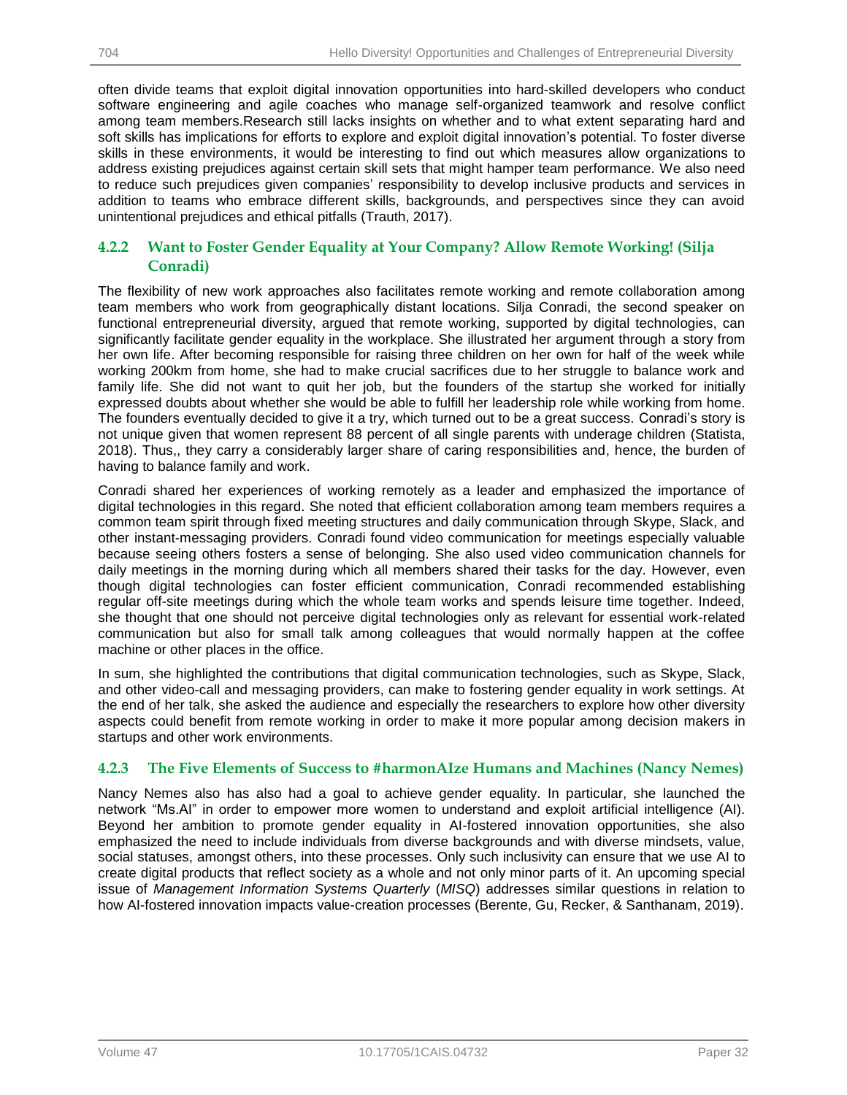often divide teams that exploit digital innovation opportunities into hard-skilled developers who conduct software engineering and agile coaches who manage self-organized teamwork and resolve conflict among team members.Research still lacks insights on whether and to what extent separating hard and soft skills has implications for efforts to explore and exploit digital innovation's potential. To foster diverse skills in these environments, it would be interesting to find out which measures allow organizations to address existing prejudices against certain skill sets that might hamper team performance. We also need to reduce such prejudices given companies' responsibility to develop inclusive products and services in addition to teams who embrace different skills, backgrounds, and perspectives since they can avoid unintentional prejudices and ethical pitfalls (Trauth, 2017).

## **4.2.2 Want to Foster Gender Equality at Your Company? Allow Remote Working! (Silja Conradi)**

The flexibility of new work approaches also facilitates remote working and remote collaboration among team members who work from geographically distant locations. Silja Conradi, the second speaker on functional entrepreneurial diversity, argued that remote working, supported by digital technologies, can significantly facilitate gender equality in the workplace. She illustrated her argument through a story from her own life. After becoming responsible for raising three children on her own for half of the week while working 200km from home, she had to make crucial sacrifices due to her struggle to balance work and family life. She did not want to quit her job, but the founders of the startup she worked for initially expressed doubts about whether she would be able to fulfill her leadership role while working from home. The founders eventually decided to give it a try, which turned out to be a great success. Conradi's story is not unique given that women represent 88 percent of all single parents with underage children (Statista, 2018). Thus,, they carry a considerably larger share of caring responsibilities and, hence, the burden of having to balance family and work.

Conradi shared her experiences of working remotely as a leader and emphasized the importance of digital technologies in this regard. She noted that efficient collaboration among team members requires a common team spirit through fixed meeting structures and daily communication through Skype, Slack, and other instant-messaging providers. Conradi found video communication for meetings especially valuable because seeing others fosters a sense of belonging. She also used video communication channels for daily meetings in the morning during which all members shared their tasks for the day. However, even though digital technologies can foster efficient communication, Conradi recommended establishing regular off-site meetings during which the whole team works and spends leisure time together. Indeed, she thought that one should not perceive digital technologies only as relevant for essential work-related communication but also for small talk among colleagues that would normally happen at the coffee machine or other places in the office.

In sum, she highlighted the contributions that digital communication technologies, such as Skype, Slack, and other video-call and messaging providers, can make to fostering gender equality in work settings. At the end of her talk, she asked the audience and especially the researchers to explore how other diversity aspects could benefit from remote working in order to make it more popular among decision makers in startups and other work environments.

### **4.2.3 The Five Elements of Success to #harmonAIze Humans and Machines (Nancy Nemes)**

Nancy Nemes also has also had a goal to achieve gender equality. In particular, she launched the network "Ms.AI" in order to empower more women to understand and exploit artificial intelligence (AI). Beyond her ambition to promote gender equality in AI-fostered innovation opportunities, she also emphasized the need to include individuals from diverse backgrounds and with diverse mindsets, value, social statuses, amongst others, into these processes. Only such inclusivity can ensure that we use AI to create digital products that reflect society as a whole and not only minor parts of it. An upcoming special issue of *Management Information Systems Quarterly* (*MISQ*) addresses similar questions in relation to how AI-fostered innovation impacts value-creation processes (Berente, Gu, Recker, & Santhanam, 2019).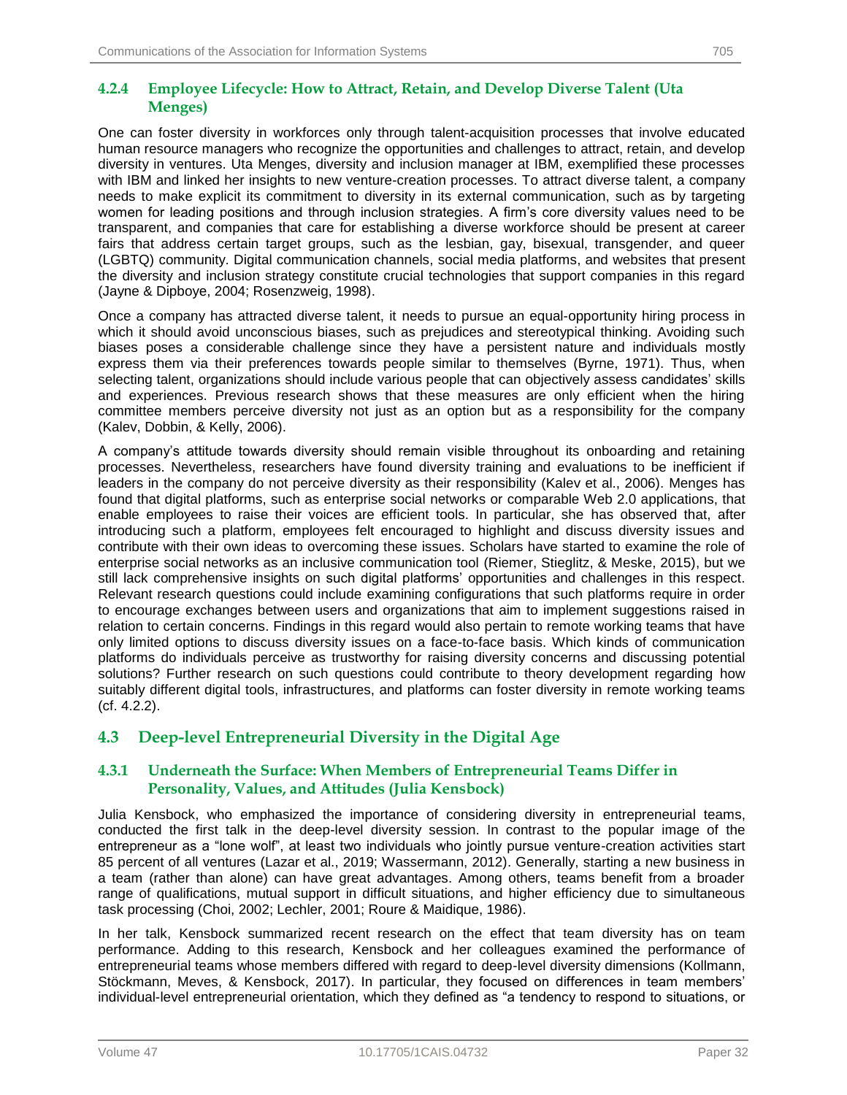### **4.2.4 Employee Lifecycle: How to Attract, Retain, and Develop Diverse Talent (Uta Menges)**

One can foster diversity in workforces only through talent-acquisition processes that involve educated human resource managers who recognize the opportunities and challenges to attract, retain, and develop diversity in ventures. Uta Menges, diversity and inclusion manager at IBM, exemplified these processes with IBM and linked her insights to new venture-creation processes. To attract diverse talent, a company needs to make explicit its commitment to diversity in its external communication, such as by targeting women for leading positions and through inclusion strategies. A firm's core diversity values need to be transparent, and companies that care for establishing a diverse workforce should be present at career fairs that address certain target groups, such as the lesbian, gay, bisexual, transgender, and queer (LGBTQ) community. Digital communication channels, social media platforms, and websites that present the diversity and inclusion strategy constitute crucial technologies that support companies in this regard (Jayne & Dipboye, 2004; Rosenzweig, 1998).

Once a company has attracted diverse talent, it needs to pursue an equal-opportunity hiring process in which it should avoid unconscious biases, such as prejudices and stereotypical thinking. Avoiding such biases poses a considerable challenge since they have a persistent nature and individuals mostly express them via their preferences towards people similar to themselves (Byrne, 1971). Thus, when selecting talent, organizations should include various people that can objectively assess candidates' skills and experiences. Previous research shows that these measures are only efficient when the hiring committee members perceive diversity not just as an option but as a responsibility for the company (Kalev, Dobbin, & Kelly, 2006).

A company's attitude towards diversity should remain visible throughout its onboarding and retaining processes. Nevertheless, researchers have found diversity training and evaluations to be inefficient if leaders in the company do not perceive diversity as their responsibility (Kalev et al., 2006). Menges has found that digital platforms, such as enterprise social networks or comparable Web 2.0 applications, that enable employees to raise their voices are efficient tools. In particular, she has observed that, after introducing such a platform, employees felt encouraged to highlight and discuss diversity issues and contribute with their own ideas to overcoming these issues. Scholars have started to examine the role of enterprise social networks as an inclusive communication tool (Riemer, Stieglitz, & Meske, 2015), but we still lack comprehensive insights on such digital platforms' opportunities and challenges in this respect. Relevant research questions could include examining configurations that such platforms require in order to encourage exchanges between users and organizations that aim to implement suggestions raised in relation to certain concerns. Findings in this regard would also pertain to remote working teams that have only limited options to discuss diversity issues on a face-to-face basis. Which kinds of communication platforms do individuals perceive as trustworthy for raising diversity concerns and discussing potential solutions? Further research on such questions could contribute to theory development regarding how suitably different digital tools, infrastructures, and platforms can foster diversity in remote working teams (cf. 4.2.2).

# **4.3 Deep-level Entrepreneurial Diversity in the Digital Age**

## **4.3.1 Underneath the Surface: When Members of Entrepreneurial Teams Differ in Personality, Values, and Attitudes (Julia Kensbock)**

Julia Kensbock, who emphasized the importance of considering diversity in entrepreneurial teams, conducted the first talk in the deep-level diversity session. In contrast to the popular image of the entrepreneur as a "lone wolf", at least two individuals who jointly pursue venture-creation activities start 85 percent of all ventures (Lazar et al., 2019; Wassermann, 2012). Generally, starting a new business in a team (rather than alone) can have great advantages. Among others, teams benefit from a broader range of qualifications, mutual support in difficult situations, and higher efficiency due to simultaneous task processing (Choi, 2002; Lechler, 2001; Roure & Maidique, 1986).

In her talk, Kensbock summarized recent research on the effect that team diversity has on team performance. Adding to this research, Kensbock and her colleagues examined the performance of entrepreneurial teams whose members differed with regard to deep-level diversity dimensions (Kollmann, Stöckmann, Meves, & Kensbock, 2017). In particular, they focused on differences in team members' individual-level entrepreneurial orientation, which they defined as "a tendency to respond to situations, or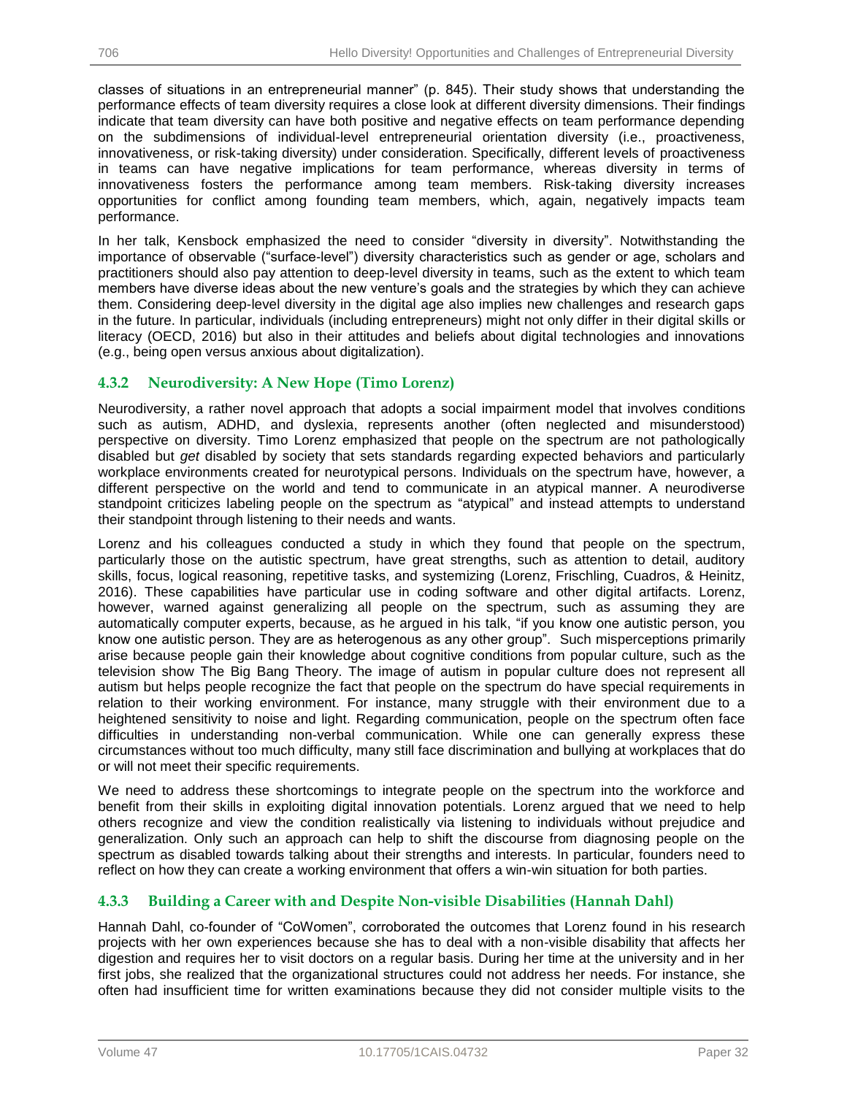classes of situations in an entrepreneurial manner" (p. 845). Their study shows that understanding the performance effects of team diversity requires a close look at different diversity dimensions. Their findings indicate that team diversity can have both positive and negative effects on team performance depending on the subdimensions of individual-level entrepreneurial orientation diversity (i.e., proactiveness, innovativeness, or risk-taking diversity) under consideration. Specifically, different levels of proactiveness in teams can have negative implications for team performance, whereas diversity in terms of innovativeness fosters the performance among team members. Risk-taking diversity increases opportunities for conflict among founding team members, which, again, negatively impacts team performance.

In her talk, Kensbock emphasized the need to consider "diversity in diversity". Notwithstanding the importance of observable ("surface-level") diversity characteristics such as gender or age, scholars and practitioners should also pay attention to deep-level diversity in teams, such as the extent to which team members have diverse ideas about the new venture's goals and the strategies by which they can achieve them. Considering deep-level diversity in the digital age also implies new challenges and research gaps in the future. In particular, individuals (including entrepreneurs) might not only differ in their digital skills or literacy (OECD, 2016) but also in their attitudes and beliefs about digital technologies and innovations (e.g., being open versus anxious about digitalization).

## **4.3.2 Neurodiversity: A New Hope (Timo Lorenz)**

Neurodiversity, a rather novel approach that adopts a social impairment model that involves conditions such as autism, ADHD, and dyslexia, represents another (often neglected and misunderstood) perspective on diversity. Timo Lorenz emphasized that people on the spectrum are not pathologically disabled but *get* disabled by society that sets standards regarding expected behaviors and particularly workplace environments created for neurotypical persons. Individuals on the spectrum have, however, a different perspective on the world and tend to communicate in an atypical manner. A neurodiverse standpoint criticizes labeling people on the spectrum as "atypical" and instead attempts to understand their standpoint through listening to their needs and wants.

Lorenz and his colleagues conducted a study in which they found that people on the spectrum, particularly those on the autistic spectrum, have great strengths, such as attention to detail, auditory skills, focus, logical reasoning, repetitive tasks, and systemizing (Lorenz, Frischling, Cuadros, & Heinitz, 2016). These capabilities have particular use in coding software and other digital artifacts. Lorenz, however, warned against generalizing all people on the spectrum, such as assuming they are automatically computer experts, because, as he argued in his talk, "if you know one autistic person, you know one autistic person. They are as heterogenous as any other group". Such misperceptions primarily arise because people gain their knowledge about cognitive conditions from popular culture, such as the television show The Big Bang Theory. The image of autism in popular culture does not represent all autism but helps people recognize the fact that people on the spectrum do have special requirements in relation to their working environment. For instance, many struggle with their environment due to a heightened sensitivity to noise and light. Regarding communication, people on the spectrum often face difficulties in understanding non-verbal communication. While one can generally express these circumstances without too much difficulty, many still face discrimination and bullying at workplaces that do or will not meet their specific requirements.

We need to address these shortcomings to integrate people on the spectrum into the workforce and benefit from their skills in exploiting digital innovation potentials. Lorenz argued that we need to help others recognize and view the condition realistically via listening to individuals without prejudice and generalization. Only such an approach can help to shift the discourse from diagnosing people on the spectrum as disabled towards talking about their strengths and interests. In particular, founders need to reflect on how they can create a working environment that offers a win-win situation for both parties.

## **4.3.3 Building a Career with and Despite Non-visible Disabilities (Hannah Dahl)**

Hannah Dahl, co-founder of "CoWomen", corroborated the outcomes that Lorenz found in his research projects with her own experiences because she has to deal with a non-visible disability that affects her digestion and requires her to visit doctors on a regular basis. During her time at the university and in her first jobs, she realized that the organizational structures could not address her needs. For instance, she often had insufficient time for written examinations because they did not consider multiple visits to the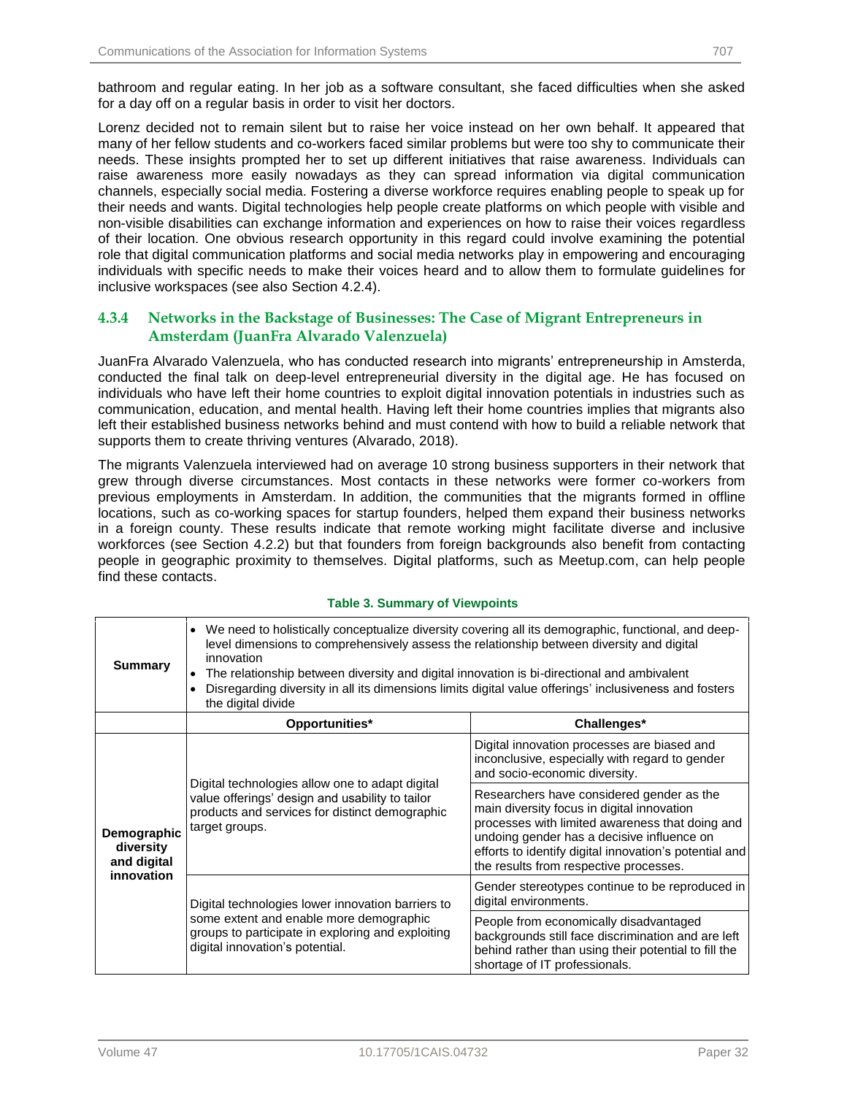bathroom and regular eating. In her job as a software consultant, she faced difficulties when she asked for a day off on a regular basis in order to visit her doctors.

Lorenz decided not to remain silent but to raise her voice instead on her own behalf. It appeared that many of her fellow students and co-workers faced similar problems but were too shy to communicate their needs. These insights prompted her to set up different initiatives that raise awareness. Individuals can raise awareness more easily nowadays as they can spread information via digital communication channels, especially social media. Fostering a diverse workforce requires enabling people to speak up for their needs and wants. Digital technologies help people create platforms on which people with visible and non-visible disabilities can exchange information and experiences on how to raise their voices regardless of their location. One obvious research opportunity in this regard could involve examining the potential role that digital communication platforms and social media networks play in empowering and encouraging individuals with specific needs to make their voices heard and to allow them to formulate guidelines for inclusive workspaces (see also Section 4.2.4).

## **4.3.4 Networks in the Backstage of Businesses: The Case of Migrant Entrepreneurs in Amsterdam (JuanFra Alvarado Valenzuela)**

JuanFra Alvarado Valenzuela, who has conducted research into migrants' entrepreneurship in Amsterda, conducted the final talk on deep-level entrepreneurial diversity in the digital age. He has focused on individuals who have left their home countries to exploit digital innovation potentials in industries such as communication, education, and mental health. Having left their home countries implies that migrants also left their established business networks behind and must contend with how to build a reliable network that supports them to create thriving ventures (Alvarado, 2018).

The migrants Valenzuela interviewed had on average 10 strong business supporters in their network that grew through diverse circumstances. Most contacts in these networks were former co-workers from previous employments in Amsterdam. In addition, the communities that the migrants formed in offline locations, such as co-working spaces for startup founders, helped them expand their business networks in a foreign county. These results indicate that remote working might facilitate diverse and inclusive workforces (see Section 4.2.2) but that founders from foreign backgrounds also benefit from contacting people in geographic proximity to themselves. Digital platforms, such as Meetup.com, can help people find these contacts.

#### **Table 3. Summary of Viewpoints**

| <b>Summary</b>                                        | • We need to holistically conceptualize diversity covering all its demographic, functional, and deep-<br>level dimensions to comprehensively assess the relationship between diversity and digital<br>innovation<br>The relationship between diversity and digital innovation is bi-directional and ambivalent<br>$\bullet$<br>Disregarding diversity in all its dimensions limits digital value offerings' inclusiveness and fosters<br>$\bullet$<br>the digital divide |                                                                                                                                                                                                                                                                                              |  |
|-------------------------------------------------------|--------------------------------------------------------------------------------------------------------------------------------------------------------------------------------------------------------------------------------------------------------------------------------------------------------------------------------------------------------------------------------------------------------------------------------------------------------------------------|----------------------------------------------------------------------------------------------------------------------------------------------------------------------------------------------------------------------------------------------------------------------------------------------|--|
|                                                       | Opportunities*                                                                                                                                                                                                                                                                                                                                                                                                                                                           | Challenges*                                                                                                                                                                                                                                                                                  |  |
| Demographic<br>diversity<br>and digital<br>innovation |                                                                                                                                                                                                                                                                                                                                                                                                                                                                          | Digital innovation processes are biased and<br>inconclusive, especially with regard to gender<br>and socio-economic diversity.                                                                                                                                                               |  |
|                                                       | Digital technologies allow one to adapt digital<br>value offerings' design and usability to tailor<br>products and services for distinct demographic<br>target groups.                                                                                                                                                                                                                                                                                                   | Researchers have considered gender as the<br>main diversity focus in digital innovation<br>processes with limited awareness that doing and<br>undoing gender has a decisive influence on<br>efforts to identify digital innovation's potential and<br>the results from respective processes. |  |
|                                                       | Digital technologies lower innovation barriers to                                                                                                                                                                                                                                                                                                                                                                                                                        | Gender stereotypes continue to be reproduced in<br>digital environments.                                                                                                                                                                                                                     |  |
|                                                       | some extent and enable more demographic<br>groups to participate in exploring and exploiting<br>digital innovation's potential.                                                                                                                                                                                                                                                                                                                                          | People from economically disadvantaged<br>backgrounds still face discrimination and are left<br>behind rather than using their potential to fill the<br>shortage of IT professionals.                                                                                                        |  |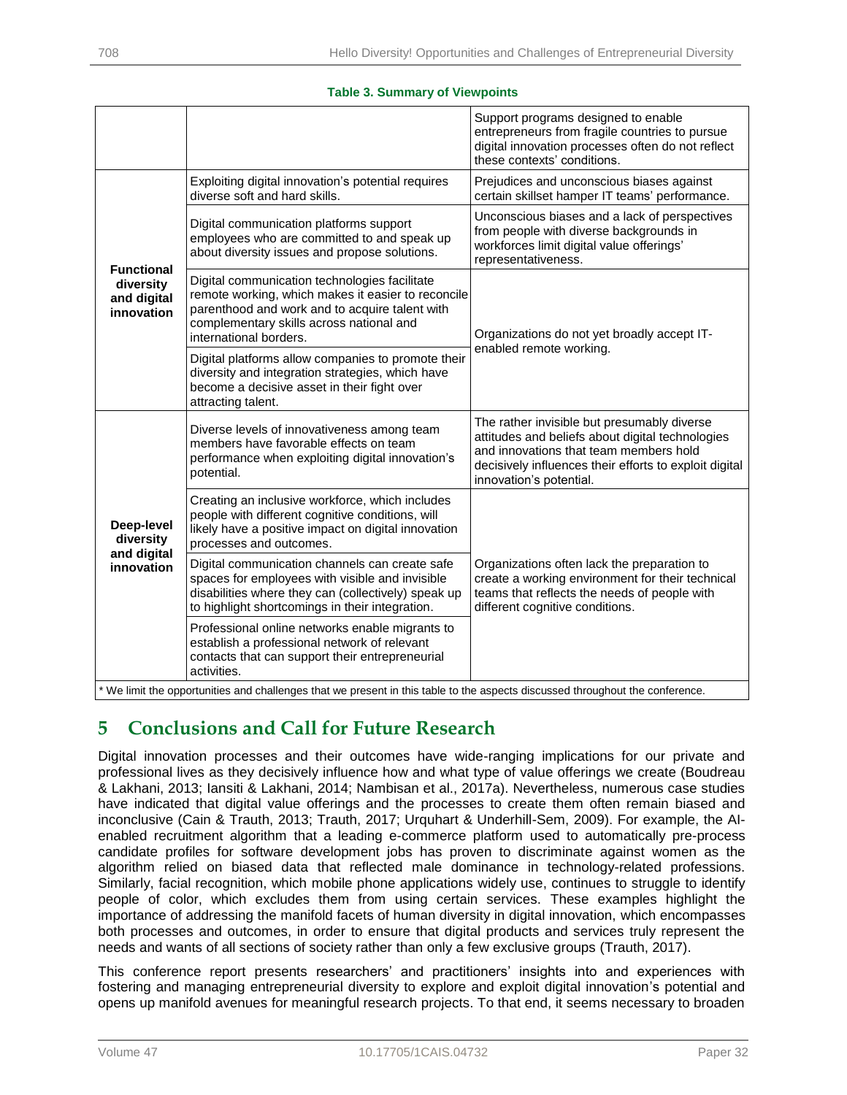#### **Table 3. Summary of Viewpoints**

|                                                                                                  |                                                                                                                                                                                                                             | Support programs designed to enable<br>entrepreneurs from fragile countries to pursue<br>digital innovation processes often do not reflect<br>these contexts' conditions.                                                      |  |  |
|--------------------------------------------------------------------------------------------------|-----------------------------------------------------------------------------------------------------------------------------------------------------------------------------------------------------------------------------|--------------------------------------------------------------------------------------------------------------------------------------------------------------------------------------------------------------------------------|--|--|
| <b>Functional</b><br>diversity<br>and digital<br>innovation                                      | Exploiting digital innovation's potential requires<br>diverse soft and hard skills.                                                                                                                                         | Prejudices and unconscious biases against<br>certain skillset hamper IT teams' performance.                                                                                                                                    |  |  |
|                                                                                                  | Digital communication platforms support<br>employees who are committed to and speak up<br>about diversity issues and propose solutions.                                                                                     | Unconscious biases and a lack of perspectives<br>from people with diverse backgrounds in<br>workforces limit digital value offerings'<br>representativeness.                                                                   |  |  |
|                                                                                                  | Digital communication technologies facilitate<br>remote working, which makes it easier to reconcile<br>parenthood and work and to acquire talent with<br>complementary skills across national and<br>international borders. | Organizations do not yet broadly accept IT-<br>enabled remote working.                                                                                                                                                         |  |  |
|                                                                                                  | Digital platforms allow companies to promote their<br>diversity and integration strategies, which have<br>become a decisive asset in their fight over<br>attracting talent.                                                 |                                                                                                                                                                                                                                |  |  |
| Deep-level<br>diversity<br>and digital<br>innovation                                             | Diverse levels of innovativeness among team<br>members have favorable effects on team<br>performance when exploiting digital innovation's<br>potential.                                                                     | The rather invisible but presumably diverse<br>attitudes and beliefs about digital technologies<br>and innovations that team members hold<br>decisively influences their efforts to exploit digital<br>innovation's potential. |  |  |
|                                                                                                  | Creating an inclusive workforce, which includes<br>people with different cognitive conditions, will<br>likely have a positive impact on digital innovation<br>processes and outcomes.                                       |                                                                                                                                                                                                                                |  |  |
|                                                                                                  | Digital communication channels can create safe<br>spaces for employees with visible and invisible<br>disabilities where they can (collectively) speak up<br>to highlight shortcomings in their integration.                 | Organizations often lack the preparation to<br>create a working environment for their technical<br>teams that reflects the needs of people with<br>different cognitive conditions.                                             |  |  |
|                                                                                                  | Professional online networks enable migrants to<br>establish a professional network of relevant<br>contacts that can support their entrepreneurial<br>activities.                                                           |                                                                                                                                                                                                                                |  |  |
| concete discussed throughout the confere<br>a and challenges that we present in this toble to th |                                                                                                                                                                                                                             |                                                                                                                                                                                                                                |  |  |

we present in this table to the aspects discuss

# **5 Conclusions and Call for Future Research**

Digital innovation processes and their outcomes have wide-ranging implications for our private and professional lives as they decisively influence how and what type of value offerings we create (Boudreau & Lakhani, 2013; Iansiti & Lakhani, 2014; Nambisan et al., 2017a). Nevertheless, numerous case studies have indicated that digital value offerings and the processes to create them often remain biased and inconclusive (Cain & Trauth, 2013; Trauth, 2017; Urquhart & Underhill-Sem, 2009). For example, the AIenabled recruitment algorithm that a leading e-commerce platform used to automatically pre-process candidate profiles for software development jobs has proven to discriminate against women as the algorithm relied on biased data that reflected male dominance in technology-related professions. Similarly, facial recognition, which mobile phone applications widely use, continues to struggle to identify people of color, which excludes them from using certain services. These examples highlight the importance of addressing the manifold facets of human diversity in digital innovation, which encompasses both processes and outcomes, in order to ensure that digital products and services truly represent the needs and wants of all sections of society rather than only a few exclusive groups (Trauth, 2017).

This conference report presents researchers' and practitioners' insights into and experiences with fostering and managing entrepreneurial diversity to explore and exploit digital innovation's potential and opens up manifold avenues for meaningful research projects. To that end, it seems necessary to broaden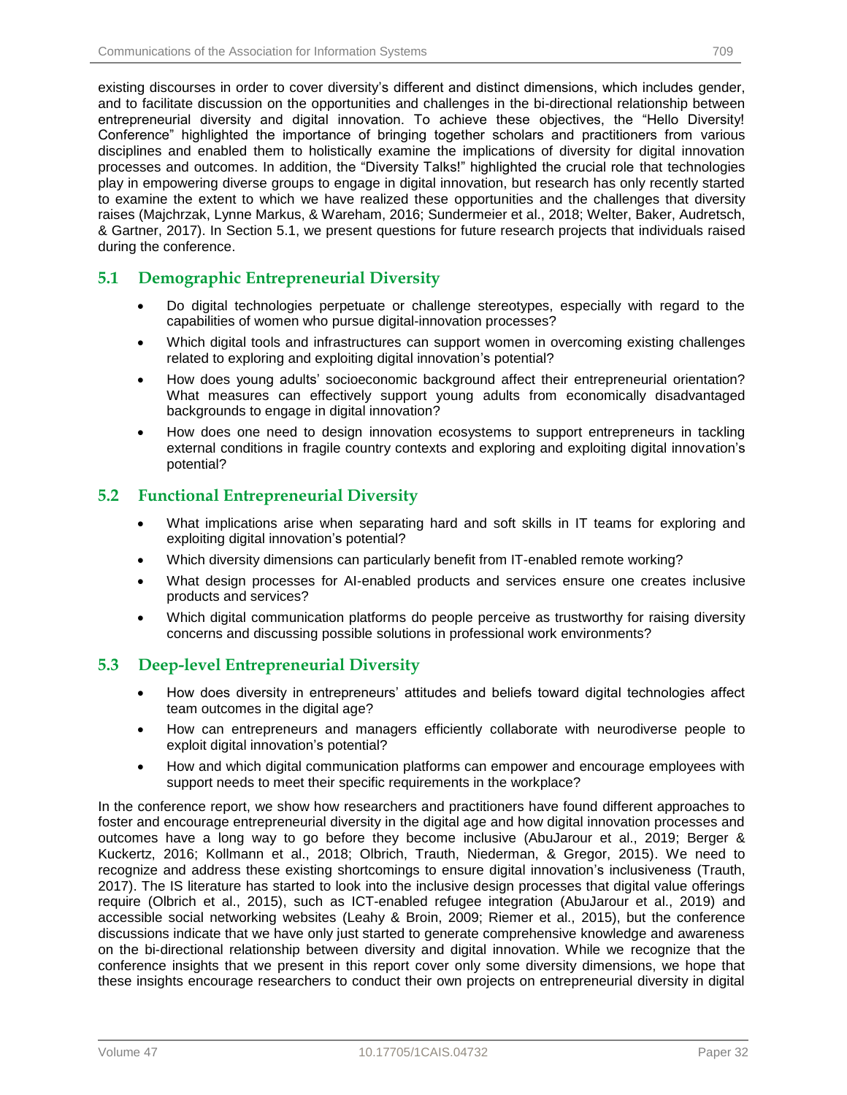existing discourses in order to cover diversity's different and distinct dimensions, which includes gender, and to facilitate discussion on the opportunities and challenges in the bi-directional relationship between entrepreneurial diversity and digital innovation. To achieve these objectives, the "Hello Diversity! Conference" highlighted the importance of bringing together scholars and practitioners from various disciplines and enabled them to holistically examine the implications of diversity for digital innovation processes and outcomes. In addition, the "Diversity Talks!" highlighted the crucial role that technologies play in empowering diverse groups to engage in digital innovation, but research has only recently started to examine the extent to which we have realized these opportunities and the challenges that diversity raises (Majchrzak, Lynne Markus, & Wareham, 2016; Sundermeier et al., 2018; Welter, Baker, Audretsch, & Gartner, 2017). In Section 5.1, we present questions for future research projects that individuals raised during the conference.

# **5.1 Demographic Entrepreneurial Diversity**

- Do digital technologies perpetuate or challenge stereotypes, especially with regard to the capabilities of women who pursue digital-innovation processes?
- Which digital tools and infrastructures can support women in overcoming existing challenges related to exploring and exploiting digital innovation's potential?
- How does young adults' socioeconomic background affect their entrepreneurial orientation? What measures can effectively support young adults from economically disadvantaged backgrounds to engage in digital innovation?
- How does one need to design innovation ecosystems to support entrepreneurs in tackling external conditions in fragile country contexts and exploring and exploiting digital innovation's potential?

# **5.2 Functional Entrepreneurial Diversity**

- What implications arise when separating hard and soft skills in IT teams for exploring and exploiting digital innovation's potential?
- Which diversity dimensions can particularly benefit from IT-enabled remote working?
- What design processes for AI-enabled products and services ensure one creates inclusive products and services?
- Which digital communication platforms do people perceive as trustworthy for raising diversity concerns and discussing possible solutions in professional work environments?

# **5.3 Deep-level Entrepreneurial Diversity**

- How does diversity in entrepreneurs' attitudes and beliefs toward digital technologies affect team outcomes in the digital age?
- How can entrepreneurs and managers efficiently collaborate with neurodiverse people to exploit digital innovation's potential?
- How and which digital communication platforms can empower and encourage employees with support needs to meet their specific requirements in the workplace?

In the conference report, we show how researchers and practitioners have found different approaches to foster and encourage entrepreneurial diversity in the digital age and how digital innovation processes and outcomes have a long way to go before they become inclusive (AbuJarour et al., 2019; Berger & Kuckertz, 2016; Kollmann et al., 2018; Olbrich, Trauth, Niederman, & Gregor, 2015). We need to recognize and address these existing shortcomings to ensure digital innovation's inclusiveness (Trauth, 2017). The IS literature has started to look into the inclusive design processes that digital value offerings require (Olbrich et al., 2015), such as ICT-enabled refugee integration (AbuJarour et al., 2019) and accessible social networking websites (Leahy & Broin, 2009; Riemer et al., 2015), but the conference discussions indicate that we have only just started to generate comprehensive knowledge and awareness on the bi-directional relationship between diversity and digital innovation. While we recognize that the conference insights that we present in this report cover only some diversity dimensions, we hope that these insights encourage researchers to conduct their own projects on entrepreneurial diversity in digital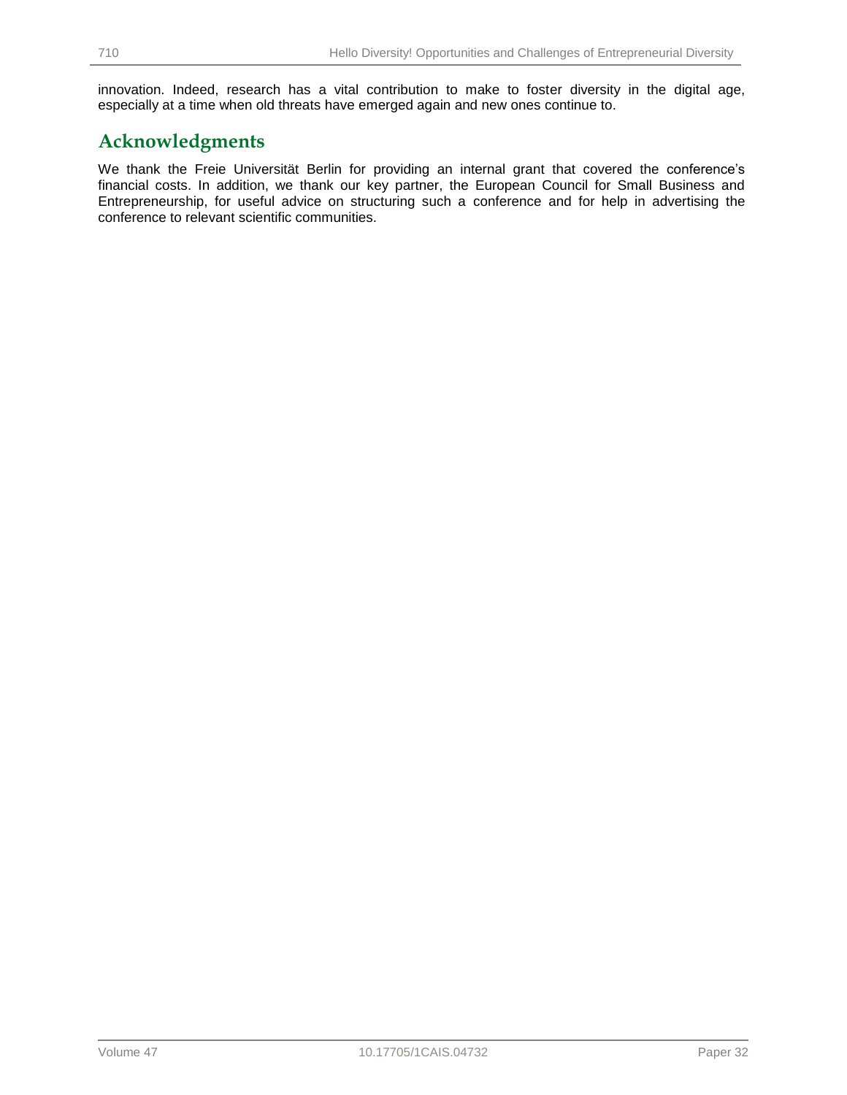innovation. Indeed, research has a vital contribution to make to foster diversity in the digital age, especially at a time when old threats have emerged again and new ones continue to.

# **Acknowledgments**

We thank the Freie Universität Berlin for providing an internal grant that covered the conference's financial costs. In addition, we thank our key partner, the European Council for Small Business and Entrepreneurship, for useful advice on structuring such a conference and for help in advertising the conference to relevant scientific communities.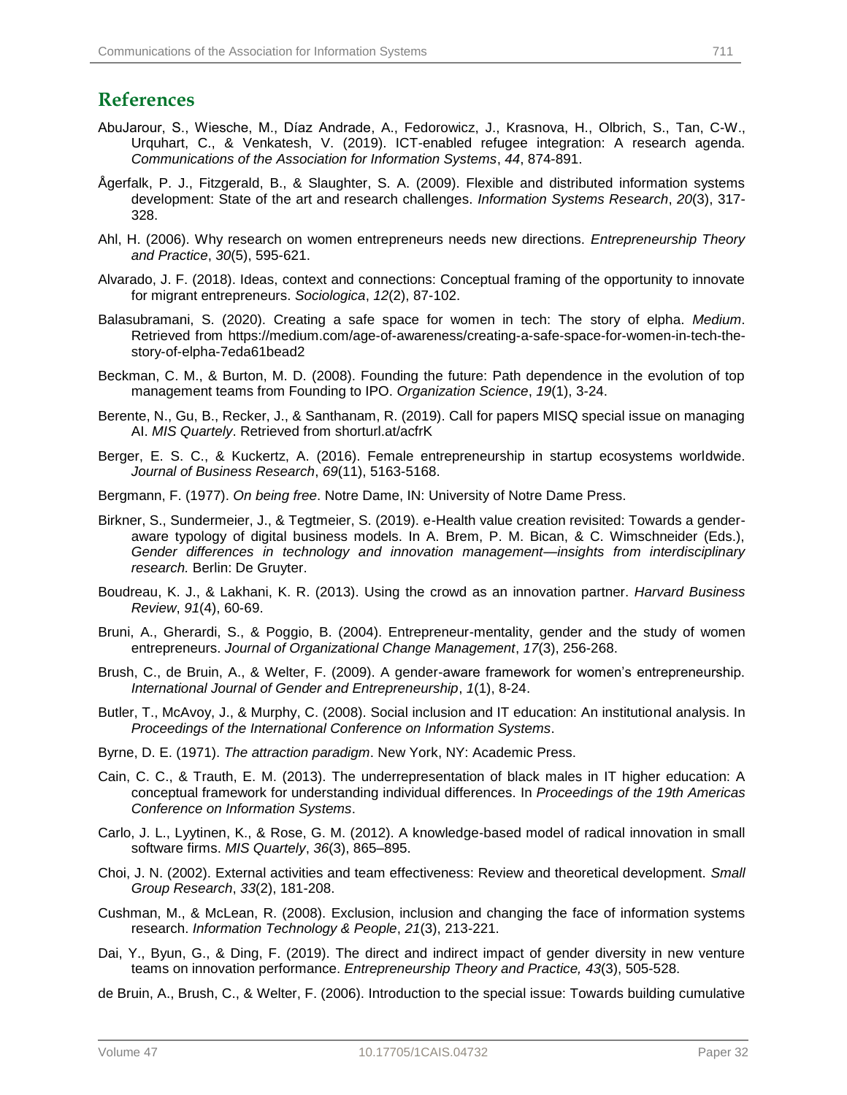# **References**

- AbuJarour, S., Wiesche, M., Díaz Andrade, A., Fedorowicz, J., Krasnova, H., Olbrich, S., Tan, C-W., Urquhart, C., & Venkatesh, V. (2019). ICT-enabled refugee integration: A research agenda. *Communications of the Association for Information Systems*, *44*, 874-891.
- Ågerfalk, P. J., Fitzgerald, B., & Slaughter, S. A. (2009). Flexible and distributed information systems development: State of the art and research challenges. *Information Systems Research*, *20*(3), 317- 328.
- Ahl, H. (2006). Why research on women entrepreneurs needs new directions. *Entrepreneurship Theory and Practice*, *30*(5), 595-621.
- Alvarado, J. F. (2018). Ideas, context and connections: Conceptual framing of the opportunity to innovate for migrant entrepreneurs. *Sociologica*, *12*(2), 87-102.
- Balasubramani, S. (2020). Creating a safe space for women in tech: The story of elpha. *Medium*. Retrieved from https://medium.com/age-of-awareness/creating-a-safe-space-for-women-in-tech-thestory-of-elpha-7eda61bead2
- Beckman, C. M., & Burton, M. D. (2008). Founding the future: Path dependence in the evolution of top management teams from Founding to IPO. *Organization Science*, *19*(1), 3-24.
- Berente, N., Gu, B., Recker, J., & Santhanam, R. (2019). Call for papers MISQ special issue on managing AI. *MIS Quartely*. Retrieved from shorturl.at/acfrK
- Berger, E. S. C., & Kuckertz, A. (2016). Female entrepreneurship in startup ecosystems worldwide. *Journal of Business Research*, *69*(11), 5163-5168.
- Bergmann, F. (1977). *On being free*. Notre Dame, IN: University of Notre Dame Press.
- Birkner, S., Sundermeier, J., & Tegtmeier, S. (2019). e-Health value creation revisited: Towards a genderaware typology of digital business models. In A. Brem, P. M. Bican, & C. Wimschneider (Eds.), *Gender differences in technology and innovation management—insights from interdisciplinary research.* Berlin: De Gruyter.
- Boudreau, K. J., & Lakhani, K. R. (2013). Using the crowd as an innovation partner. *Harvard Business Review*, *91*(4), 60-69.
- Bruni, A., Gherardi, S., & Poggio, B. (2004). Entrepreneur-mentality, gender and the study of women entrepreneurs. *Journal of Organizational Change Management*, *17*(3), 256-268.
- Brush, C., de Bruin, A., & Welter, F. (2009). A gender-aware framework for women's entrepreneurship. *International Journal of Gender and Entrepreneurship*, *1*(1), 8-24.
- Butler, T., McAvoy, J., & Murphy, C. (2008). Social inclusion and IT education: An institutional analysis. In *Proceedings of the International Conference on Information Systems*.
- Byrne, D. E. (1971). *The attraction paradigm*. New York, NY: Academic Press.
- Cain, C. C., & Trauth, E. M. (2013). The underrepresentation of black males in IT higher education: A conceptual framework for understanding individual differences. In *Proceedings of the 19th Americas Conference on Information Systems*.
- Carlo, J. L., Lyytinen, K., & Rose, G. M. (2012). A knowledge-based model of radical innovation in small software firms. *MIS Quartely*, *36*(3), 865–895.
- Choi, J. N. (2002). External activities and team effectiveness: Review and theoretical development. *Small Group Research*, *33*(2), 181-208.
- Cushman, M., & McLean, R. (2008). Exclusion, inclusion and changing the face of information systems research. *Information Technology & People*, *21*(3), 213-221.
- Dai, Y., Byun, G., & Ding, F. (2019). The direct and indirect impact of gender diversity in new venture teams on innovation performance. *Entrepreneurship Theory and Practice, 43*(3), 505-528.
- de Bruin, A., Brush, C., & Welter, F. (2006). Introduction to the special issue: Towards building cumulative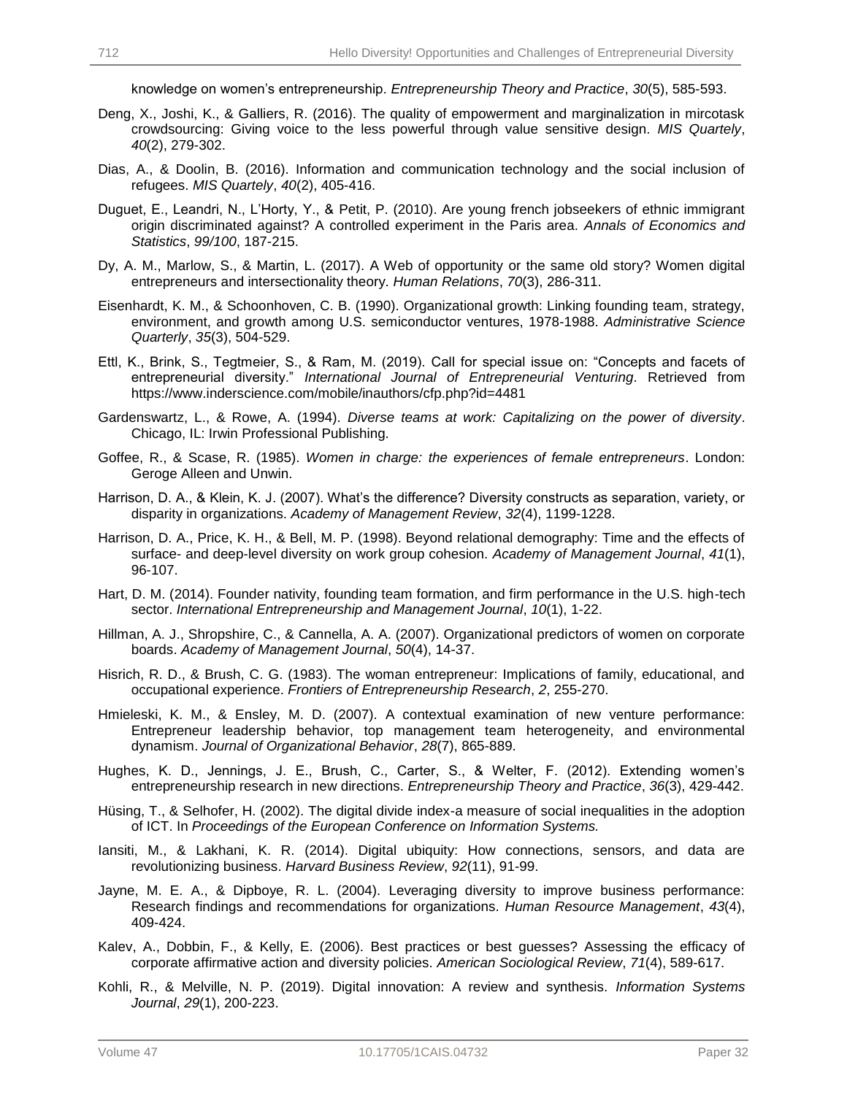knowledge on women's entrepreneurship. *Entrepreneurship Theory and Practice*, *30*(5), 585-593.

- Deng, X., Joshi, K., & Galliers, R. (2016). The quality of empowerment and marginalization in mircotask crowdsourcing: Giving voice to the less powerful through value sensitive design. *MIS Quartely*, *40*(2), 279-302.
- Dias, A., & Doolin, B. (2016). Information and communication technology and the social inclusion of refugees. *MIS Quartely*, *40*(2), 405-416.
- Duguet, E., Leandri, N., L'Horty, Y., & Petit, P. (2010). Are young french jobseekers of ethnic immigrant origin discriminated against? A controlled experiment in the Paris area. *Annals of Economics and Statistics*, *99/100*, 187-215.
- Dy, A. M., Marlow, S., & Martin, L. (2017). A Web of opportunity or the same old story? Women digital entrepreneurs and intersectionality theory. *Human Relations*, *70*(3), 286-311.
- Eisenhardt, K. M., & Schoonhoven, C. B. (1990). Organizational growth: Linking founding team, strategy, environment, and growth among U.S. semiconductor ventures, 1978-1988. *Administrative Science Quarterly*, *35*(3), 504-529.
- Ettl, K., Brink, S., Tegtmeier, S., & Ram, M. (2019). Call for special issue on: "Concepts and facets of entrepreneurial diversity." *International Journal of Entrepreneurial Venturing*. Retrieved from https://www.inderscience.com/mobile/inauthors/cfp.php?id=4481
- Gardenswartz, L., & Rowe, A. (1994). *Diverse teams at work: Capitalizing on the power of diversity*. Chicago, IL: Irwin Professional Publishing.
- Goffee, R., & Scase, R. (1985). *Women in charge: the experiences of female entrepreneurs*. London: Geroge Alleen and Unwin.
- Harrison, D. A., & Klein, K. J. (2007). What's the difference? Diversity constructs as separation, variety, or disparity in organizations. *Academy of Management Review*, *32*(4), 1199-1228.
- Harrison, D. A., Price, K. H., & Bell, M. P. (1998). Beyond relational demography: Time and the effects of surface- and deep-level diversity on work group cohesion. *Academy of Management Journal*, *41*(1), 96-107.
- Hart, D. M. (2014). Founder nativity, founding team formation, and firm performance in the U.S. high-tech sector. *International Entrepreneurship and Management Journal*, *10*(1), 1-22.
- Hillman, A. J., Shropshire, C., & Cannella, A. A. (2007). Organizational predictors of women on corporate boards. *Academy of Management Journal*, *50*(4), 14-37.
- Hisrich, R. D., & Brush, C. G. (1983). The woman entrepreneur: Implications of family, educational, and occupational experience. *Frontiers of Entrepreneurship Research*, *2*, 255-270.
- Hmieleski, K. M., & Ensley, M. D. (2007). A contextual examination of new venture performance: Entrepreneur leadership behavior, top management team heterogeneity, and environmental dynamism. *Journal of Organizational Behavior*, *28*(7), 865-889.
- Hughes, K. D., Jennings, J. E., Brush, C., Carter, S., & Welter, F. (2012). Extending women's entrepreneurship research in new directions. *Entrepreneurship Theory and Practice*, *36*(3), 429-442.
- Hüsing, T., & Selhofer, H. (2002). The digital divide index-a measure of social inequalities in the adoption of ICT. In *Proceedings of the European Conference on Information Systems.*
- Iansiti, M., & Lakhani, K. R. (2014). Digital ubiquity: How connections, sensors, and data are revolutionizing business. *Harvard Business Review*, *92*(11), 91-99.
- Jayne, M. E. A., & Dipboye, R. L. (2004). Leveraging diversity to improve business performance: Research findings and recommendations for organizations. *Human Resource Management*, *43*(4), 409-424.
- Kalev, A., Dobbin, F., & Kelly, E. (2006). Best practices or best guesses? Assessing the efficacy of corporate affirmative action and diversity policies. *American Sociological Review*, *71*(4), 589-617.
- Kohli, R., & Melville, N. P. (2019). Digital innovation: A review and synthesis. *Information Systems Journal*, *29*(1), 200-223.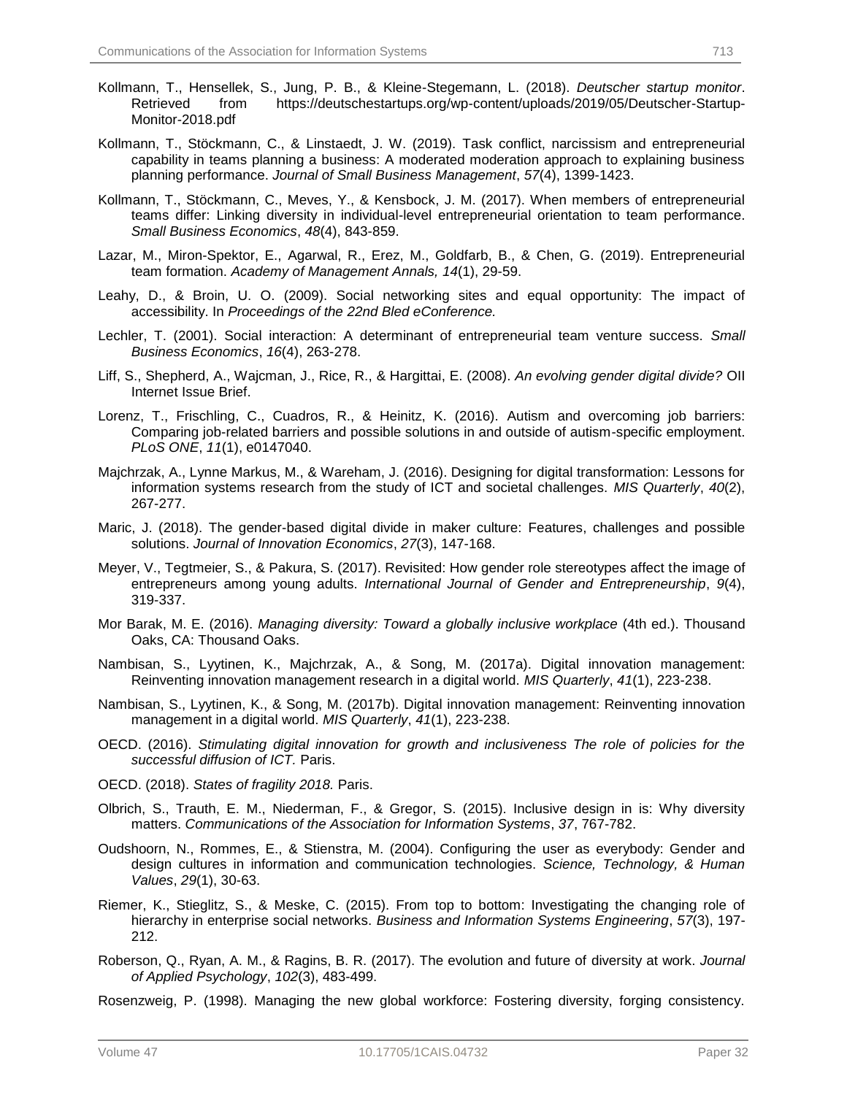- Kollmann, T., Hensellek, S., Jung, P. B., & Kleine-Stegemann, L. (2018). *Deutscher startup monitor*. Retrieved from https://deutschestartups.org/wp-content/uploads/2019/05/Deutscher-Startup-Monitor-2018.pdf
- Kollmann, T., Stöckmann, C., & Linstaedt, J. W. (2019). Task conflict, narcissism and entrepreneurial capability in teams planning a business: A moderated moderation approach to explaining business planning performance. *Journal of Small Business Management*, *57*(4), 1399-1423.
- Kollmann, T., Stöckmann, C., Meves, Y., & Kensbock, J. M. (2017). When members of entrepreneurial teams differ: Linking diversity in individual-level entrepreneurial orientation to team performance. *Small Business Economics*, *48*(4), 843-859.
- Lazar, M., Miron-Spektor, E., Agarwal, R., Erez, M., Goldfarb, B., & Chen, G. (2019). Entrepreneurial team formation. *Academy of Management Annals, 14*(1), 29-59.
- Leahy, D., & Broin, U. O. (2009). Social networking sites and equal opportunity: The impact of accessibility. In *Proceedings of the 22nd Bled eConference.*
- Lechler, T. (2001). Social interaction: A determinant of entrepreneurial team venture success. *Small Business Economics*, *16*(4), 263-278.
- Liff, S., Shepherd, A., Wajcman, J., Rice, R., & Hargittai, E. (2008). *An evolving gender digital divide?* OII Internet Issue Brief.
- Lorenz, T., Frischling, C., Cuadros, R., & Heinitz, K. (2016). Autism and overcoming job barriers: Comparing job-related barriers and possible solutions in and outside of autism-specific employment. *PLoS ONE*, *11*(1), e0147040.
- Majchrzak, A., Lynne Markus, M., & Wareham, J. (2016). Designing for digital transformation: Lessons for information systems research from the study of ICT and societal challenges. *MIS Quarterly*, *40*(2), 267-277.
- Maric, J. (2018). The gender-based digital divide in maker culture: Features, challenges and possible solutions. *Journal of Innovation Economics*, *27*(3), 147-168.
- Meyer, V., Tegtmeier, S., & Pakura, S. (2017). Revisited: How gender role stereotypes affect the image of entrepreneurs among young adults. *International Journal of Gender and Entrepreneurship*, *9*(4), 319-337.
- Mor Barak, M. E. (2016). *Managing diversity: Toward a globally inclusive workplace* (4th ed.). Thousand Oaks, CA: Thousand Oaks.
- Nambisan, S., Lyytinen, K., Majchrzak, A., & Song, M. (2017a). Digital innovation management: Reinventing innovation management research in a digital world. *MIS Quarterly*, *41*(1), 223-238.
- Nambisan, S., Lyytinen, K., & Song, M. (2017b). Digital innovation management: Reinventing innovation management in a digital world. *MIS Quarterly*, *41*(1), 223-238.
- OECD. (2016). *Stimulating digital innovation for growth and inclusiveness The role of policies for the successful diffusion of ICT.* Paris.
- OECD. (2018). *States of fragility 2018.* Paris.
- Olbrich, S., Trauth, E. M., Niederman, F., & Gregor, S. (2015). Inclusive design in is: Why diversity matters. *Communications of the Association for Information Systems*, *37*, 767-782.
- Oudshoorn, N., Rommes, E., & Stienstra, M. (2004). Configuring the user as everybody: Gender and design cultures in information and communication technologies. *Science, Technology, & Human Values*, *29*(1), 30-63.
- Riemer, K., Stieglitz, S., & Meske, C. (2015). From top to bottom: Investigating the changing role of hierarchy in enterprise social networks. *Business and Information Systems Engineering*, *57*(3), 197- 212.
- Roberson, Q., Ryan, A. M., & Ragins, B. R. (2017). The evolution and future of diversity at work. *Journal of Applied Psychology*, *102*(3), 483-499.

Rosenzweig, P. (1998). Managing the new global workforce: Fostering diversity, forging consistency.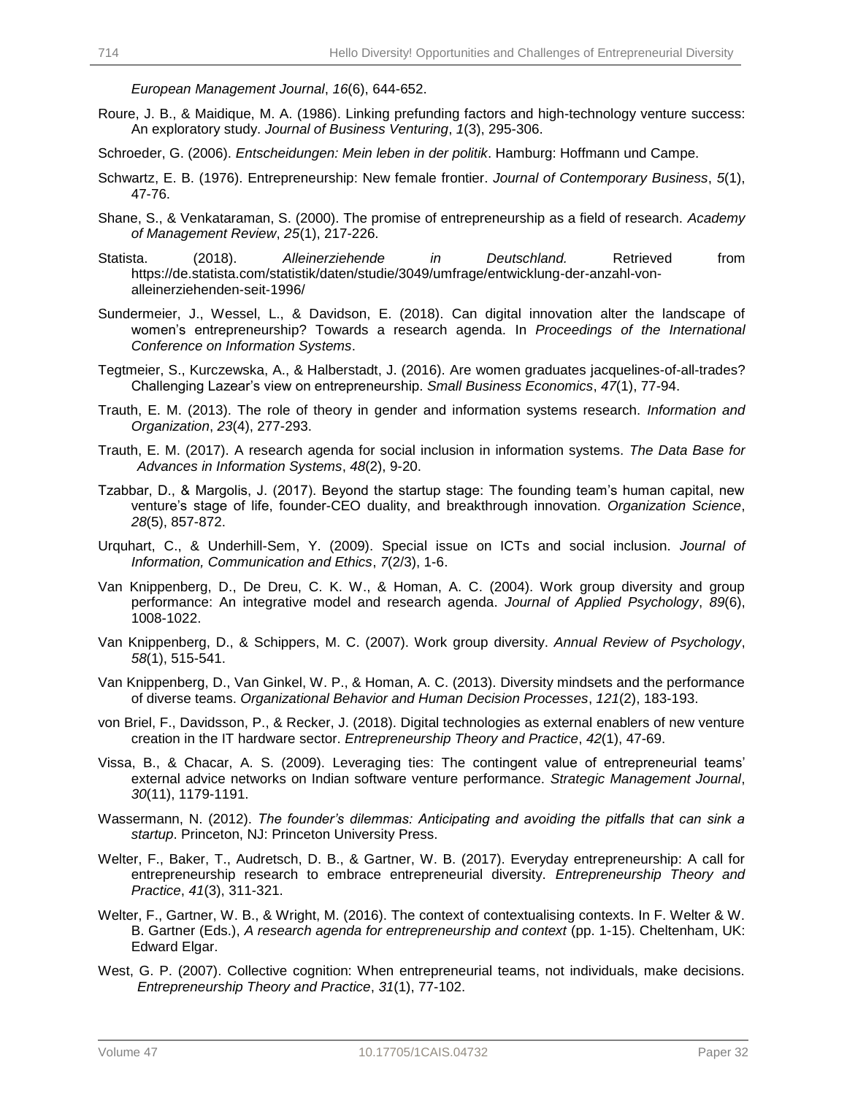*European Management Journal*, *16*(6), 644-652.

- Roure, J. B., & Maidique, M. A. (1986). Linking prefunding factors and high-technology venture success: An exploratory study. *Journal of Business Venturing*, *1*(3), 295-306.
- Schroeder, G. (2006). *Entscheidungen: Mein leben in der politik*. Hamburg: Hoffmann und Campe.
- Schwartz, E. B. (1976). Entrepreneurship: New female frontier. *Journal of Contemporary Business*, *5*(1), 47-76.
- Shane, S., & Venkataraman, S. (2000). The promise of entrepreneurship as a field of research. *Academy of Management Review*, *25*(1), 217-226.
- Statista. (2018). *Alleinerziehende in Deutschland.* Retrieved from https://de.statista.com/statistik/daten/studie/3049/umfrage/entwicklung-der-anzahl-vonalleinerziehenden-seit-1996/
- Sundermeier, J., Wessel, L., & Davidson, E. (2018). Can digital innovation alter the landscape of women's entrepreneurship? Towards a research agenda. In *Proceedings of the International Conference on Information Systems*.
- Tegtmeier, S., Kurczewska, A., & Halberstadt, J. (2016). Are women graduates jacquelines-of-all-trades? Challenging Lazear's view on entrepreneurship. *Small Business Economics*, *47*(1), 77-94.
- Trauth, E. M. (2013). The role of theory in gender and information systems research. *Information and Organization*, *23*(4), 277-293.
- Trauth, E. M. (2017). A research agenda for social inclusion in information systems. *The Data Base for Advances in Information Systems*, *48*(2), 9-20.
- Tzabbar, D., & Margolis, J. (2017). Beyond the startup stage: The founding team's human capital, new venture's stage of life, founder-CEO duality, and breakthrough innovation. *Organization Science*, *28*(5), 857-872.
- Urquhart, C., & Underhill-Sem, Y. (2009). Special issue on ICTs and social inclusion. *Journal of Information, Communication and Ethics*, *7*(2/3), 1-6.
- Van Knippenberg, D., De Dreu, C. K. W., & Homan, A. C. (2004). Work group diversity and group performance: An integrative model and research agenda. *Journal of Applied Psychology*, *89*(6), 1008-1022.
- Van Knippenberg, D., & Schippers, M. C. (2007). Work group diversity. *Annual Review of Psychology*, *58*(1), 515-541.
- Van Knippenberg, D., Van Ginkel, W. P., & Homan, A. C. (2013). Diversity mindsets and the performance of diverse teams. *Organizational Behavior and Human Decision Processes*, *121*(2), 183-193.
- von Briel, F., Davidsson, P., & Recker, J. (2018). Digital technologies as external enablers of new venture creation in the IT hardware sector. *Entrepreneurship Theory and Practice*, *42*(1), 47-69.
- Vissa, B., & Chacar, A. S. (2009). Leveraging ties: The contingent value of entrepreneurial teams' external advice networks on Indian software venture performance. *Strategic Management Journal*, *30*(11), 1179-1191.
- Wassermann, N. (2012). *The founder's dilemmas: Anticipating and avoiding the pitfalls that can sink a startup*. Princeton, NJ: Princeton University Press.
- Welter, F., Baker, T., Audretsch, D. B., & Gartner, W. B. (2017). Everyday entrepreneurship: A call for entrepreneurship research to embrace entrepreneurial diversity. *Entrepreneurship Theory and Practice*, *41*(3), 311-321.
- Welter, F., Gartner, W. B., & Wright, M. (2016). The context of contextualising contexts. In F. Welter & W. B. Gartner (Eds.), *A research agenda for entrepreneurship and context* (pp. 1-15). Cheltenham, UK: Edward Elgar.
- West, G. P. (2007). Collective cognition: When entrepreneurial teams, not individuals, make decisions. *Entrepreneurship Theory and Practice*, *31*(1), 77-102.